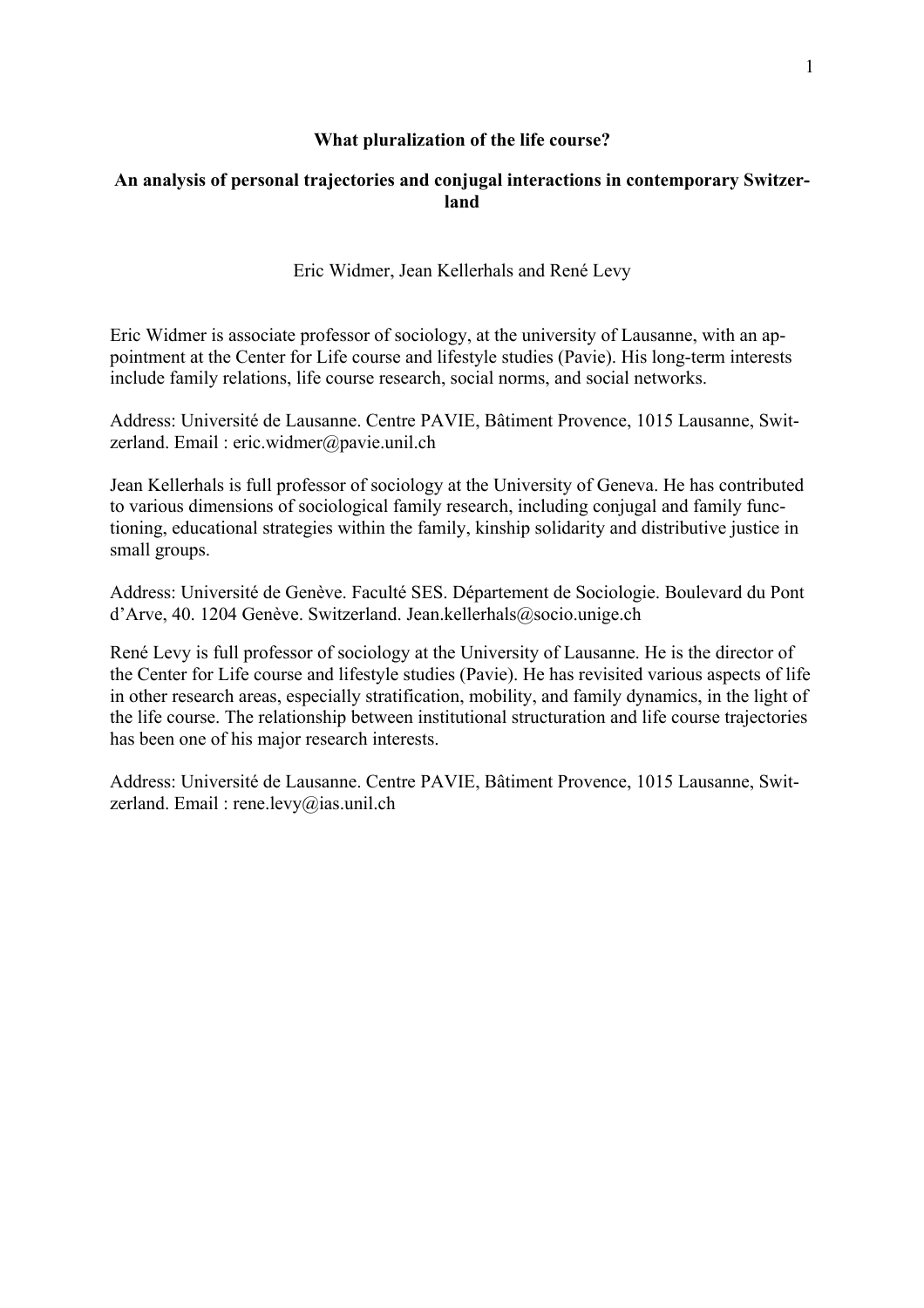## **What pluralization of the life course?**

# **An analysis of personal trajectories and conjugal interactions in contemporary Switzerland**

Eric Widmer, Jean Kellerhals and René Levy

Eric Widmer is associate professor of sociology, at the university of Lausanne, with an appointment at the Center for Life course and lifestyle studies (Pavie). His long-term interests include family relations, life course research, social norms, and social networks.

Address: Université de Lausanne. Centre PAVIE, Bâtiment Provence, 1015 Lausanne, Switzerland. Email : eric.widmer@pavie.unil.ch

Jean Kellerhals is full professor of sociology at the University of Geneva. He has contributed to various dimensions of sociological family research, including conjugal and family functioning, educational strategies within the family, kinship solidarity and distributive justice in small groups.

Address: Université de Genève. Faculté SES. Département de Sociologie. Boulevard du Pont d'Arve, 40. 1204 Genève. Switzerland. Jean.kellerhals@socio.unige.ch

René Levy is full professor of sociology at the University of Lausanne. He is the director of the Center for Life course and lifestyle studies (Pavie). He has revisited various aspects of life in other research areas, especially stratification, mobility, and family dynamics, in the light of the life course. The relationship between institutional structuration and life course trajectories has been one of his major research interests.

Address: Université de Lausanne. Centre PAVIE, Bâtiment Provence, 1015 Lausanne, Switzerland. Email : rene.levy@ias.unil.ch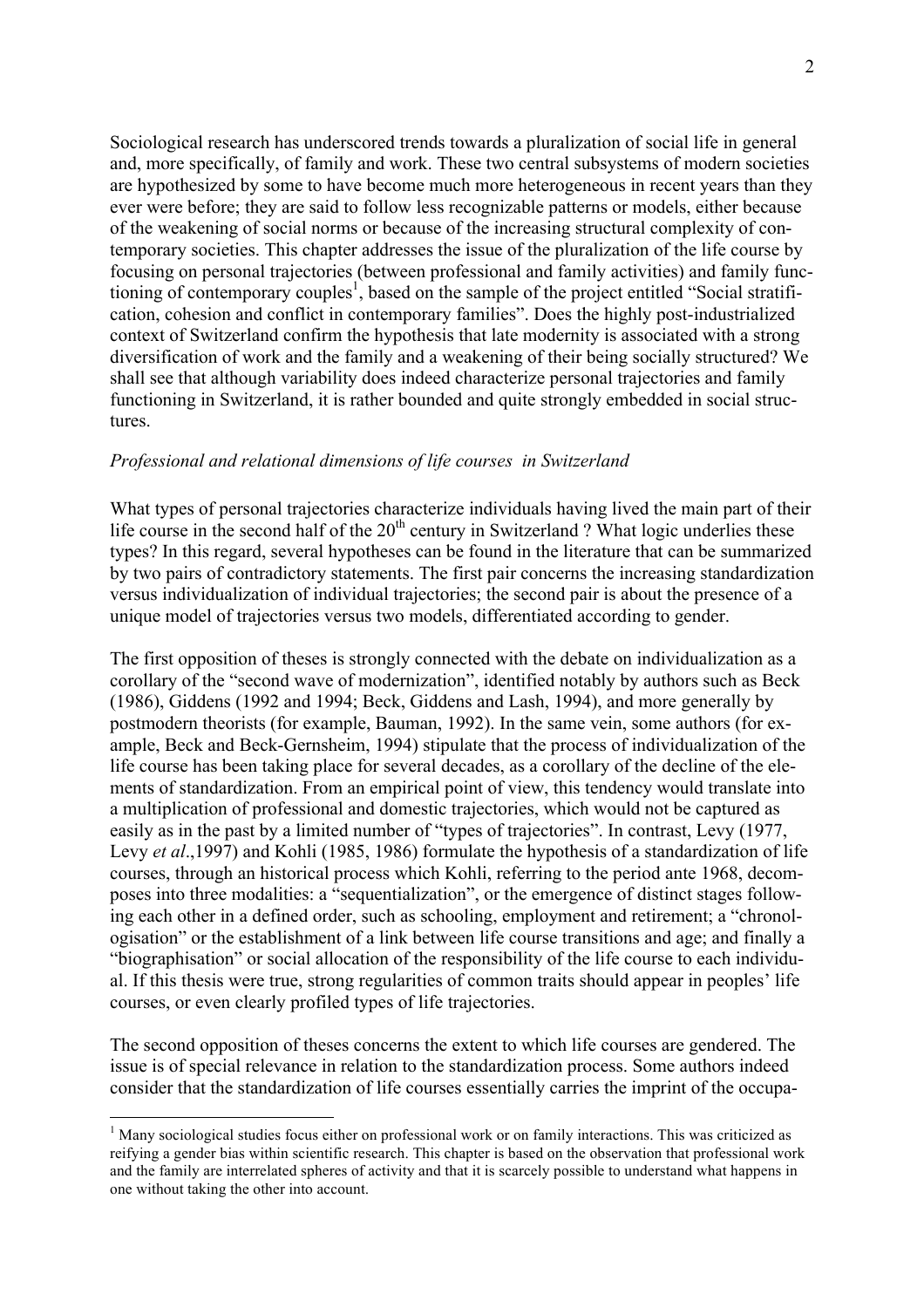Sociological research has underscored trends towards a pluralization of social life in general and, more specifically, of family and work. These two central subsystems of modern societies are hypothesized by some to have become much more heterogeneous in recent years than they ever were before; they are said to follow less recognizable patterns or models, either because of the weakening of social norms or because of the increasing structural complexity of contemporary societies. This chapter addresses the issue of the pluralization of the life course by focusing on personal trajectories (between professional and family activities) and family functioning of contemporary couples<sup>1</sup>, based on the sample of the project entitled "Social stratification, cohesion and conflict in contemporary families". Does the highly post-industrialized context of Switzerland confirm the hypothesis that late modernity is associated with a strong diversification of work and the family and a weakening of their being socially structured? We shall see that although variability does indeed characterize personal trajectories and family functioning in Switzerland, it is rather bounded and quite strongly embedded in social structures.

#### *Professional and relational dimensions of life courses in Switzerland*

What types of personal trajectories characterize individuals having lived the main part of their life course in the second half of the  $20<sup>th</sup>$  century in Switzerland ? What logic underlies these types? In this regard, several hypotheses can be found in the literature that can be summarized by two pairs of contradictory statements. The first pair concerns the increasing standardization versus individualization of individual trajectories; the second pair is about the presence of a unique model of trajectories versus two models, differentiated according to gender.

The first opposition of theses is strongly connected with the debate on individualization as a corollary of the "second wave of modernization", identified notably by authors such as Beck (1986), Giddens (1992 and 1994; Beck, Giddens and Lash, 1994), and more generally by postmodern theorists (for example, Bauman, 1992). In the same vein, some authors (for example, Beck and Beck-Gernsheim, 1994) stipulate that the process of individualization of the life course has been taking place for several decades, as a corollary of the decline of the elements of standardization. From an empirical point of view, this tendency would translate into a multiplication of professional and domestic trajectories, which would not be captured as easily as in the past by a limited number of "types of trajectories". In contrast, Levy (1977, Levy *et al*.,1997) and Kohli (1985, 1986) formulate the hypothesis of a standardization of life courses, through an historical process which Kohli, referring to the period ante 1968, decomposes into three modalities: a "sequentialization", or the emergence of distinct stages following each other in a defined order, such as schooling, employment and retirement; a "chronologisation" or the establishment of a link between life course transitions and age; and finally a "biographisation" or social allocation of the responsibility of the life course to each individual. If this thesis were true, strong regularities of common traits should appear in peoples' life courses, or even clearly profiled types of life trajectories.

The second opposition of theses concerns the extent to which life courses are gendered. The issue is of special relevance in relation to the standardization process. Some authors indeed consider that the standardization of life courses essentially carries the imprint of the occupa-

<sup>&</sup>lt;sup>1</sup> Many sociological studies focus either on professional work or on family interactions. This was criticized as reifying a gender bias within scientific research. This chapter is based on the observation that professional work and the family are interrelated spheres of activity and that it is scarcely possible to understand what happens in one without taking the other into account.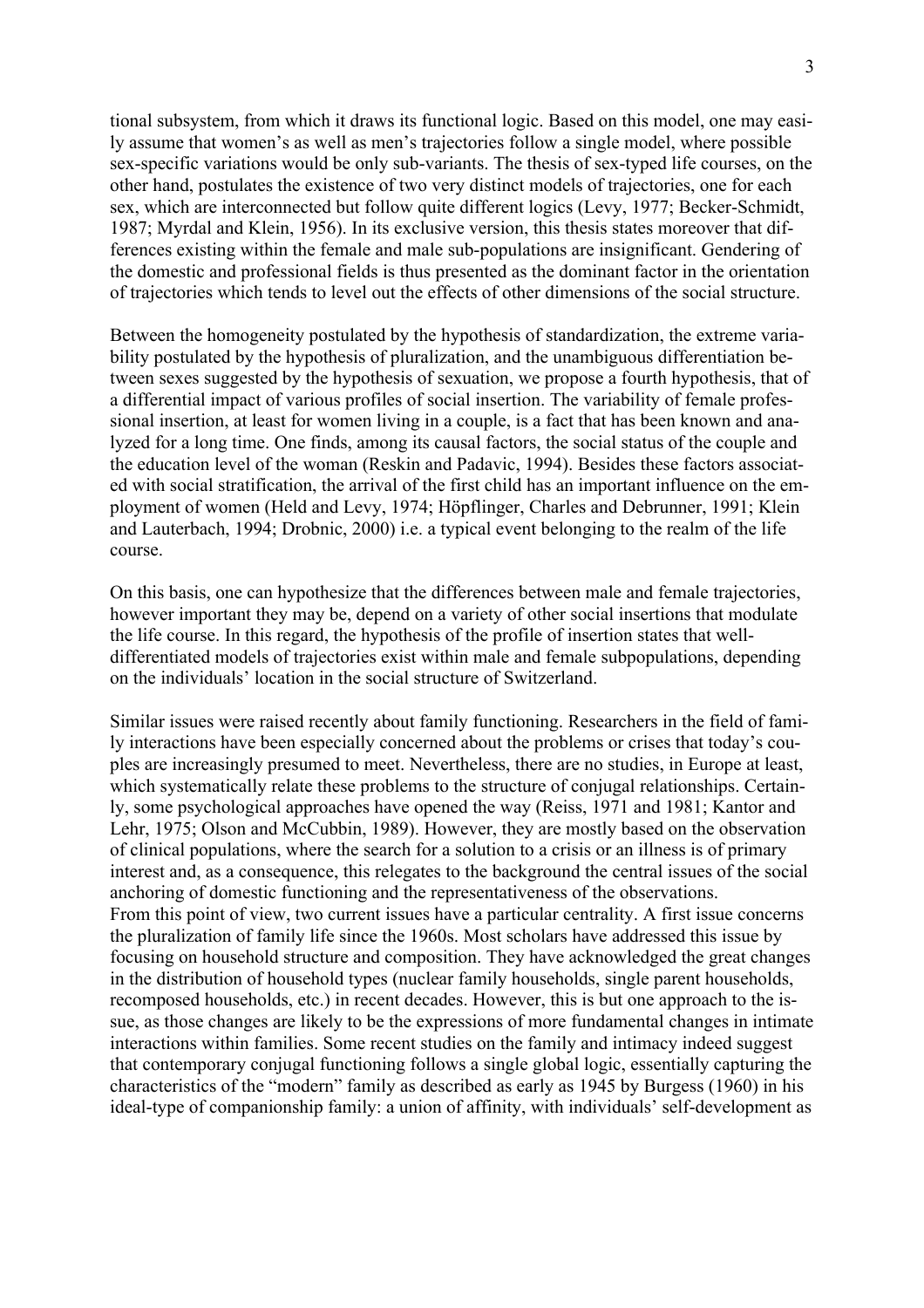tional subsystem, from which it draws its functional logic. Based on this model, one may easily assume that women's as well as men's trajectories follow a single model, where possible sex-specific variations would be only sub-variants. The thesis of sex-typed life courses, on the other hand, postulates the existence of two very distinct models of trajectories, one for each sex, which are interconnected but follow quite different logics (Levy, 1977; Becker-Schmidt, 1987; Myrdal and Klein, 1956). In its exclusive version, this thesis states moreover that differences existing within the female and male sub-populations are insignificant. Gendering of the domestic and professional fields is thus presented as the dominant factor in the orientation of trajectories which tends to level out the effects of other dimensions of the social structure.

Between the homogeneity postulated by the hypothesis of standardization, the extreme variability postulated by the hypothesis of pluralization, and the unambiguous differentiation between sexes suggested by the hypothesis of sexuation, we propose a fourth hypothesis, that of a differential impact of various profiles of social insertion. The variability of female professional insertion, at least for women living in a couple, is a fact that has been known and analyzed for a long time. One finds, among its causal factors, the social status of the couple and the education level of the woman (Reskin and Padavic, 1994). Besides these factors associated with social stratification, the arrival of the first child has an important influence on the employment of women (Held and Levy, 1974; Höpflinger, Charles and Debrunner, 1991; Klein and Lauterbach, 1994; Drobnic, 2000) i.e. a typical event belonging to the realm of the life course.

On this basis, one can hypothesize that the differences between male and female trajectories, however important they may be, depend on a variety of other social insertions that modulate the life course. In this regard, the hypothesis of the profile of insertion states that welldifferentiated models of trajectories exist within male and female subpopulations, depending on the individuals' location in the social structure of Switzerland.

Similar issues were raised recently about family functioning. Researchers in the field of family interactions have been especially concerned about the problems or crises that today's couples are increasingly presumed to meet. Nevertheless, there are no studies, in Europe at least, which systematically relate these problems to the structure of conjugal relationships. Certainly, some psychological approaches have opened the way (Reiss, 1971 and 1981; Kantor and Lehr, 1975; Olson and McCubbin, 1989). However, they are mostly based on the observation of clinical populations, where the search for a solution to a crisis or an illness is of primary interest and, as a consequence, this relegates to the background the central issues of the social anchoring of domestic functioning and the representativeness of the observations. From this point of view, two current issues have a particular centrality. A first issue concerns the pluralization of family life since the 1960s. Most scholars have addressed this issue by focusing on household structure and composition. They have acknowledged the great changes in the distribution of household types (nuclear family households, single parent households, recomposed households, etc.) in recent decades. However, this is but one approach to the issue, as those changes are likely to be the expressions of more fundamental changes in intimate interactions within families. Some recent studies on the family and intimacy indeed suggest that contemporary conjugal functioning follows a single global logic, essentially capturing the characteristics of the "modern" family as described as early as 1945 by Burgess (1960) in his ideal-type of companionship family: a union of affinity, with individuals' self-development as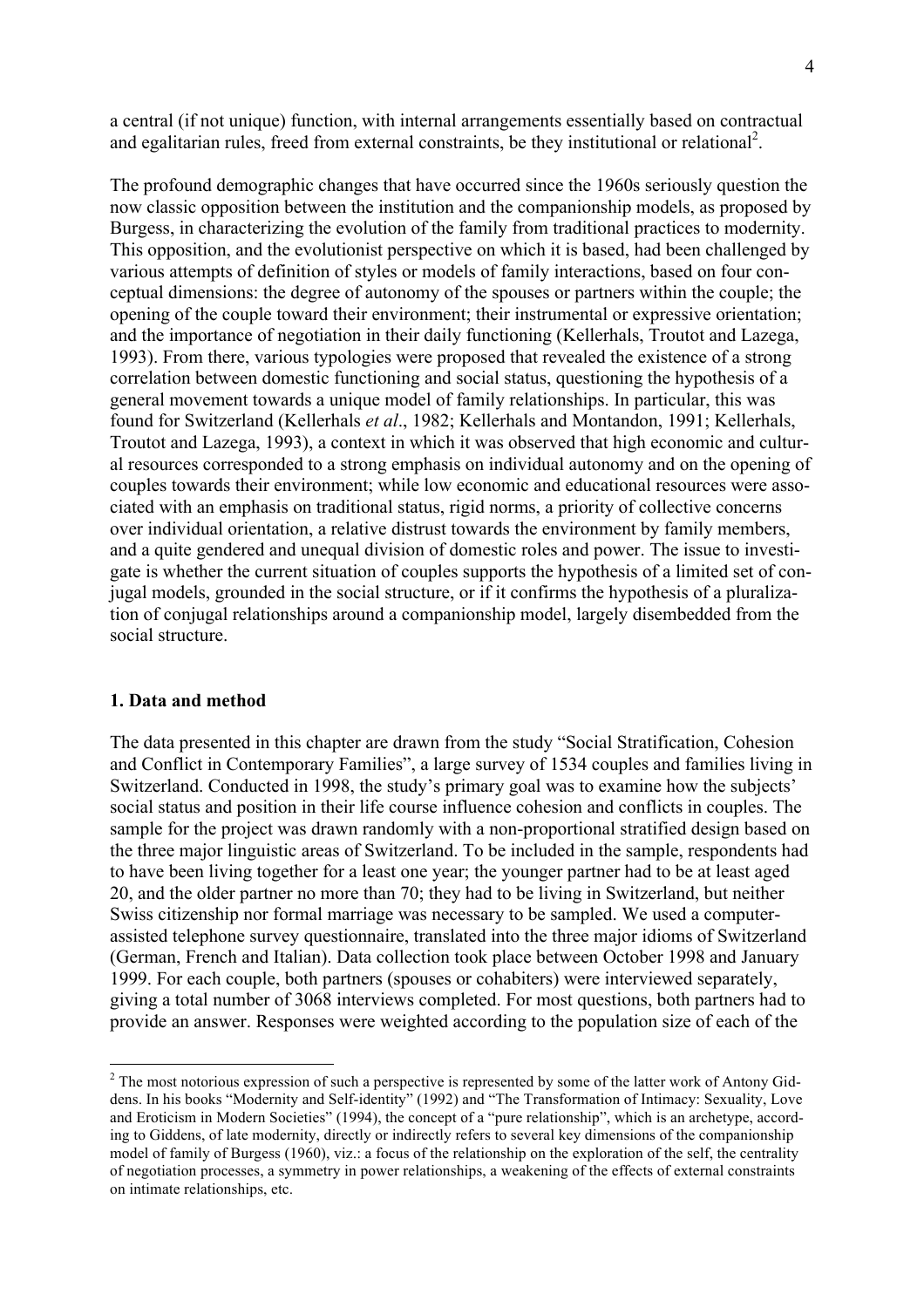a central (if not unique) function, with internal arrangements essentially based on contractual and egalitarian rules, freed from external constraints, be they institutional or relational<sup>2</sup>.

The profound demographic changes that have occurred since the 1960s seriously question the now classic opposition between the institution and the companionship models, as proposed by Burgess, in characterizing the evolution of the family from traditional practices to modernity. This opposition, and the evolutionist perspective on which it is based, had been challenged by various attempts of definition of styles or models of family interactions, based on four conceptual dimensions: the degree of autonomy of the spouses or partners within the couple; the opening of the couple toward their environment; their instrumental or expressive orientation; and the importance of negotiation in their daily functioning (Kellerhals, Troutot and Lazega, 1993). From there, various typologies were proposed that revealed the existence of a strong correlation between domestic functioning and social status, questioning the hypothesis of a general movement towards a unique model of family relationships. In particular, this was found for Switzerland (Kellerhals *et al*., 1982; Kellerhals and Montandon, 1991; Kellerhals, Troutot and Lazega, 1993), a context in which it was observed that high economic and cultural resources corresponded to a strong emphasis on individual autonomy and on the opening of couples towards their environment; while low economic and educational resources were associated with an emphasis on traditional status, rigid norms, a priority of collective concerns over individual orientation, a relative distrust towards the environment by family members, and a quite gendered and unequal division of domestic roles and power. The issue to investigate is whether the current situation of couples supports the hypothesis of a limited set of conjugal models, grounded in the social structure, or if it confirms the hypothesis of a pluralization of conjugal relationships around a companionship model, largely disembedded from the social structure.

#### **1. Data and method**

The data presented in this chapter are drawn from the study "Social Stratification, Cohesion and Conflict in Contemporary Families", a large survey of 1534 couples and families living in Switzerland. Conducted in 1998, the study's primary goal was to examine how the subjects' social status and position in their life course influence cohesion and conflicts in couples. The sample for the project was drawn randomly with a non-proportional stratified design based on the three major linguistic areas of Switzerland. To be included in the sample, respondents had to have been living together for a least one year; the younger partner had to be at least aged 20, and the older partner no more than 70; they had to be living in Switzerland, but neither Swiss citizenship nor formal marriage was necessary to be sampled. We used a computerassisted telephone survey questionnaire, translated into the three major idioms of Switzerland (German, French and Italian). Data collection took place between October 1998 and January 1999. For each couple, both partners (spouses or cohabiters) were interviewed separately, giving a total number of 3068 interviews completed. For most questions, both partners had to provide an answer. Responses were weighted according to the population size of each of the

<sup>&</sup>lt;sup>2</sup> The most notorious expression of such a perspective is represented by some of the latter work of Antony Giddens. In his books "Modernity and Self-identity" (1992) and "The Transformation of Intimacy: Sexuality, Love and Eroticism in Modern Societies" (1994), the concept of a "pure relationship", which is an archetype, according to Giddens, of late modernity, directly or indirectly refers to several key dimensions of the companionship model of family of Burgess (1960), viz.: a focus of the relationship on the exploration of the self, the centrality of negotiation processes, a symmetry in power relationships, a weakening of the effects of external constraints on intimate relationships, etc.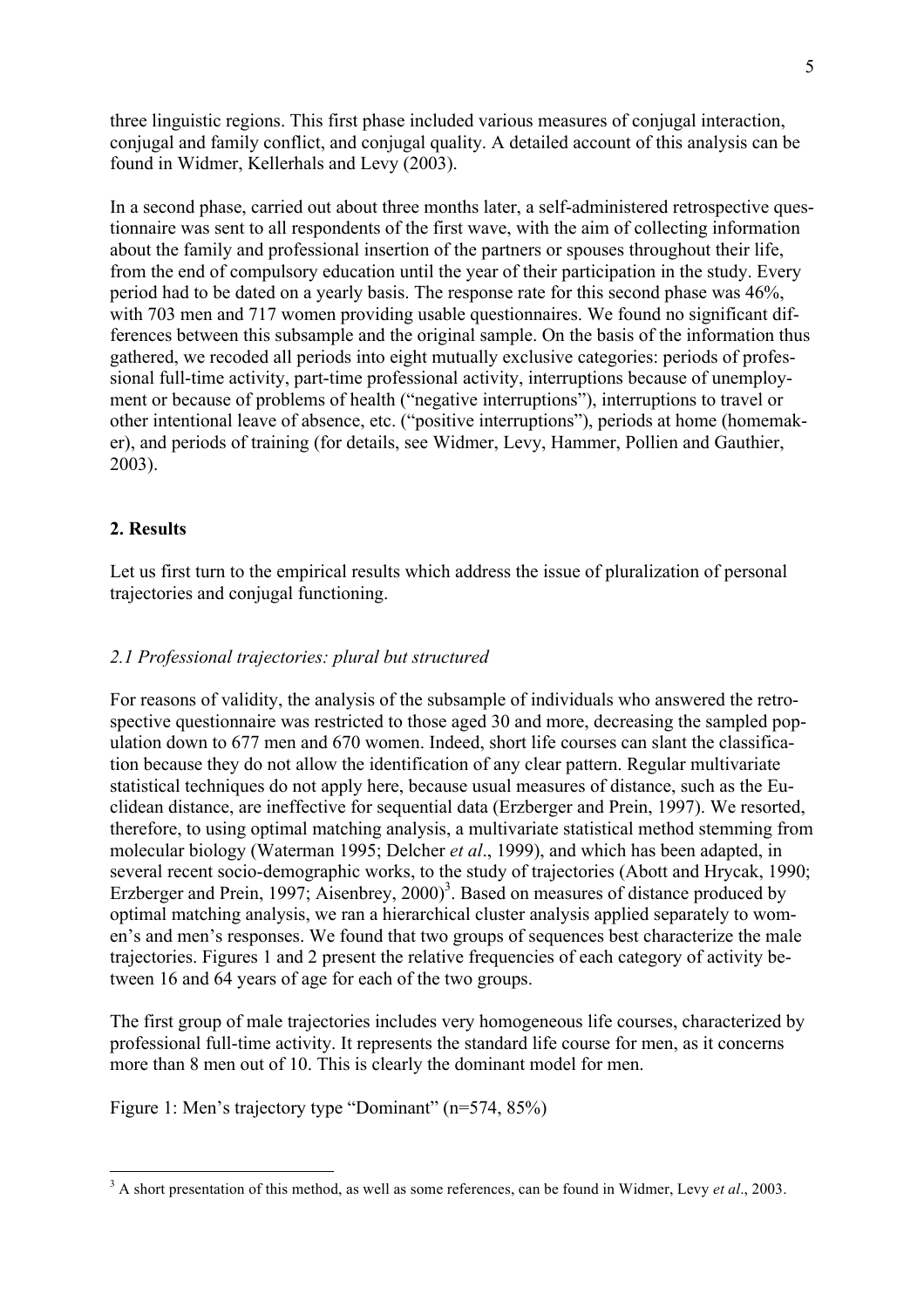three linguistic regions. This first phase included various measures of conjugal interaction, conjugal and family conflict, and conjugal quality. A detailed account of this analysis can be found in Widmer, Kellerhals and Levy (2003).

In a second phase, carried out about three months later, a self-administered retrospective questionnaire was sent to all respondents of the first wave, with the aim of collecting information about the family and professional insertion of the partners or spouses throughout their life, from the end of compulsory education until the year of their participation in the study. Every period had to be dated on a yearly basis. The response rate for this second phase was 46%, with 703 men and 717 women providing usable questionnaires. We found no significant differences between this subsample and the original sample. On the basis of the information thus gathered, we recoded all periods into eight mutually exclusive categories: periods of professional full-time activity, part-time professional activity, interruptions because of unemployment or because of problems of health ("negative interruptions"), interruptions to travel or other intentional leave of absence, etc. ("positive interruptions"), periods at home (homemaker), and periods of training (for details, see Widmer, Levy, Hammer, Pollien and Gauthier, 2003).

# **2. Results**

Let us first turn to the empirical results which address the issue of pluralization of personal trajectories and conjugal functioning.

# *2.1 Professional trajectories: plural but structured*

For reasons of validity, the analysis of the subsample of individuals who answered the retrospective questionnaire was restricted to those aged 30 and more, decreasing the sampled population down to 677 men and 670 women. Indeed, short life courses can slant the classification because they do not allow the identification of any clear pattern. Regular multivariate statistical techniques do not apply here, because usual measures of distance, such as the Euclidean distance, are ineffective for sequential data (Erzberger and Prein, 1997). We resorted, therefore, to using optimal matching analysis, a multivariate statistical method stemming from molecular biology (Waterman 1995; Delcher *et al*., 1999), and which has been adapted, in several recent socio-demographic works, to the study of trajectories (Abott and Hrycak, 1990; Erzberger and Prein, 1997; Aisenbrey,  $2000$ <sup>3</sup>. Based on measures of distance produced by optimal matching analysis, we ran a hierarchical cluster analysis applied separately to women's and men's responses. We found that two groups of sequences best characterize the male trajectories. Figures 1 and 2 present the relative frequencies of each category of activity between 16 and 64 years of age for each of the two groups.

The first group of male trajectories includes very homogeneous life courses, characterized by professional full-time activity. It represents the standard life course for men, as it concerns more than 8 men out of 10. This is clearly the dominant model for men.

Figure 1: Men's trajectory type "Dominant" (n=574, 85%)

<sup>&</sup>lt;sup>3</sup> A short presentation of this method, as well as some references, can be found in Widmer, Levy *et al.*, 2003.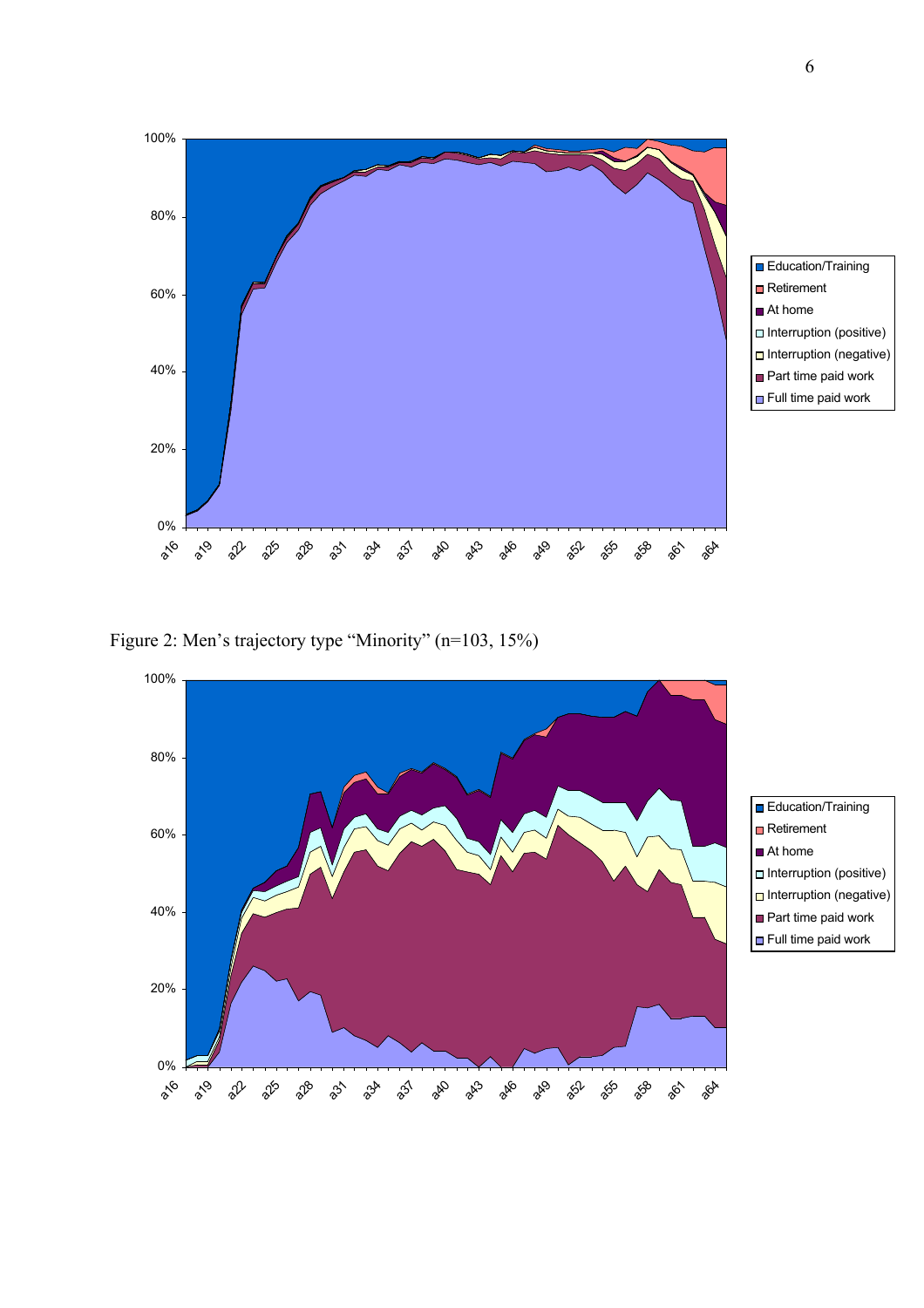







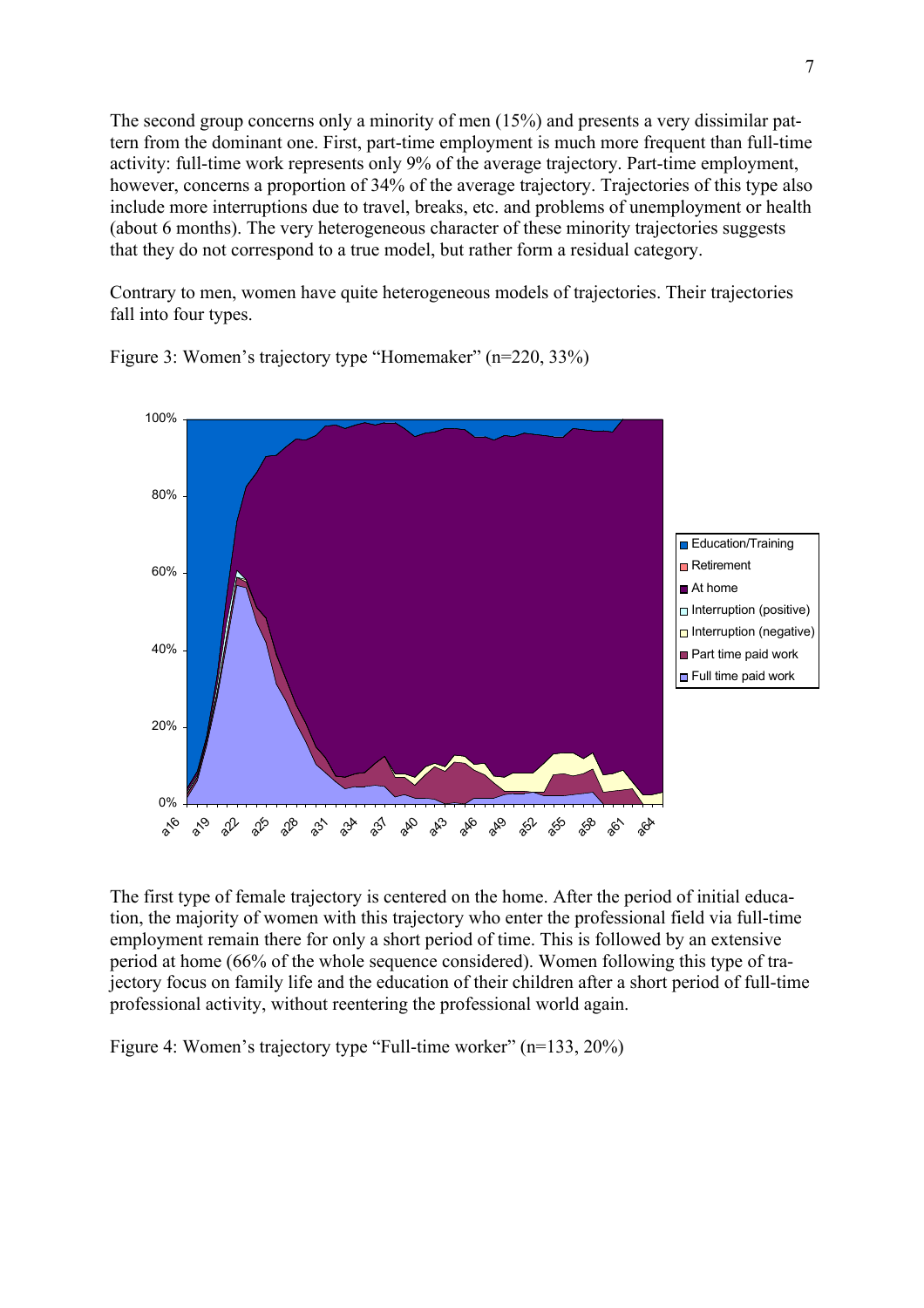The second group concerns only a minority of men (15%) and presents a very dissimilar pattern from the dominant one. First, part-time employment is much more frequent than full-time activity: full-time work represents only 9% of the average trajectory. Part-time employment, however, concerns a proportion of 34% of the average trajectory. Trajectories of this type also include more interruptions due to travel, breaks, etc. and problems of unemployment or health (about 6 months). The very heterogeneous character of these minority trajectories suggests that they do not correspond to a true model, but rather form a residual category.

Contrary to men, women have quite heterogeneous models of trajectories. Their trajectories fall into four types.



Figure 3: Women's trajectory type "Homemaker" (n=220, 33%)

The first type of female trajectory is centered on the home. After the period of initial education, the majority of women with this trajectory who enter the professional field via full-time employment remain there for only a short period of time. This is followed by an extensive period at home (66% of the whole sequence considered). Women following this type of trajectory focus on family life and the education of their children after a short period of full-time professional activity, without reentering the professional world again.

Figure 4: Women's trajectory type "Full-time worker" (n=133, 20%)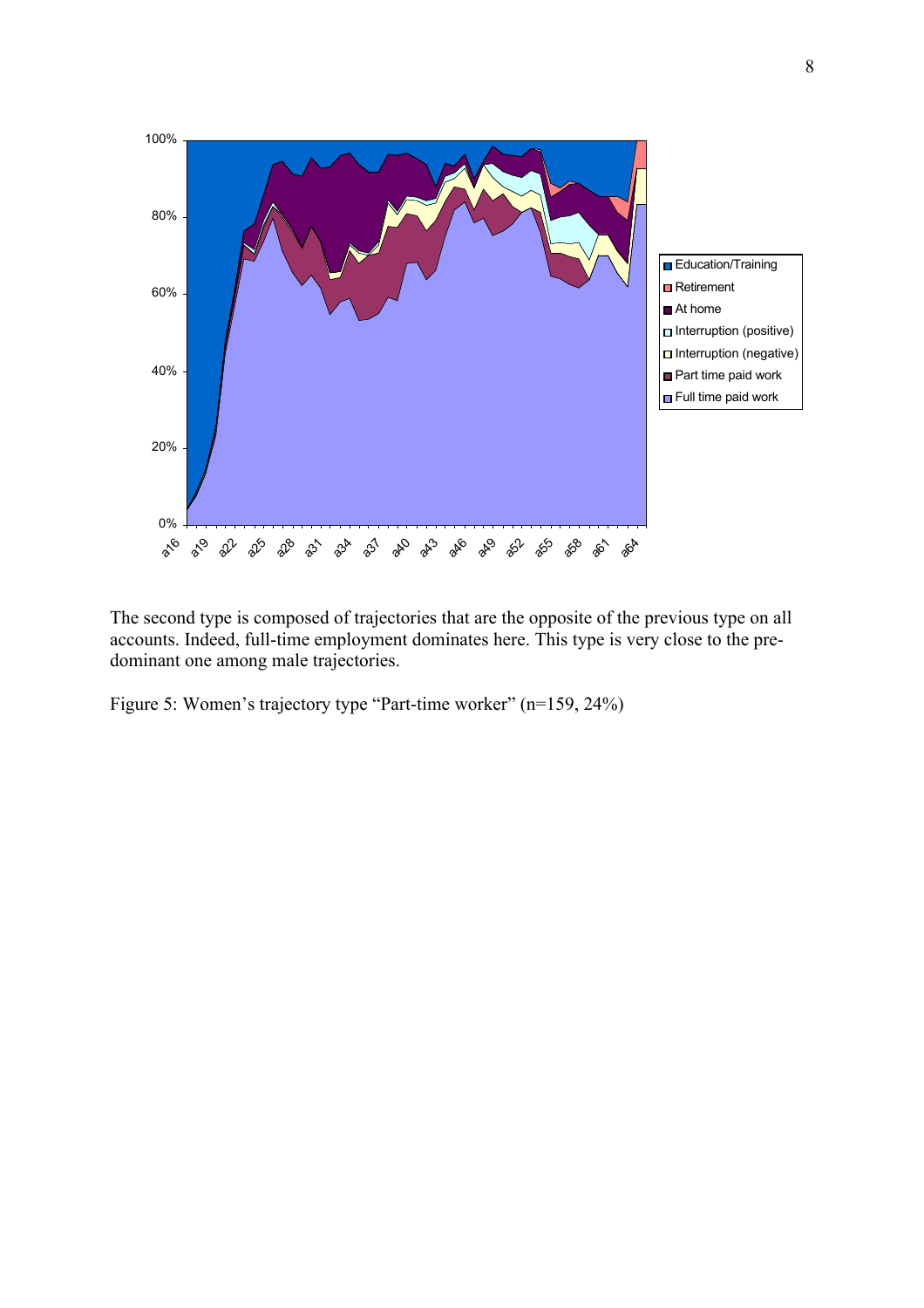

The second type is composed of trajectories that are the opposite of the previous type on all accounts. Indeed, full-time employment dominates here. This type is very close to the predominant one among male trajectories.

Figure 5: Women's trajectory type "Part-time worker" (n=159, 24%)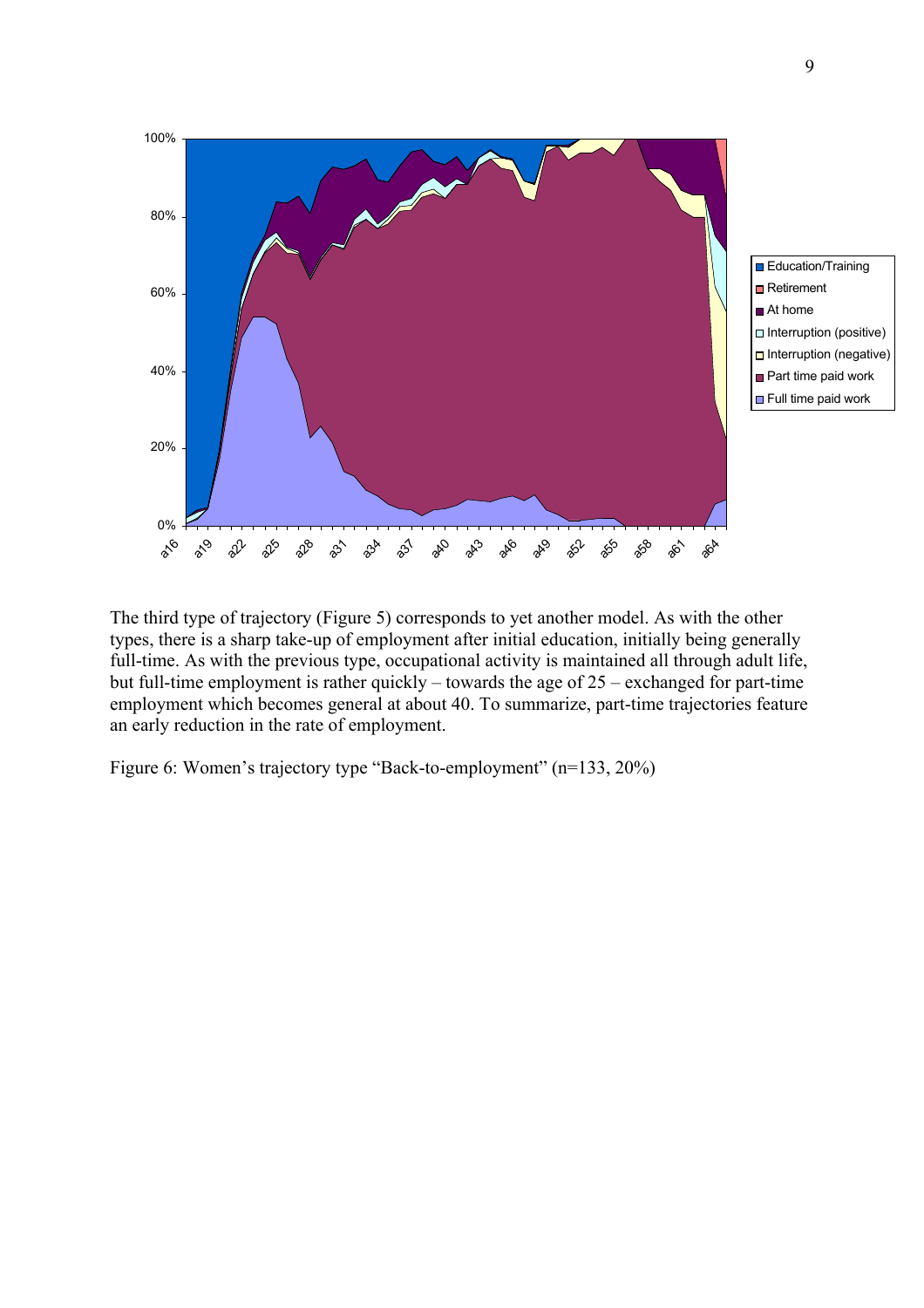



The third type of trajectory (Figure 5) corresponds to yet another model. As with the other types, there is a sharp take-up of employment after initial education, initially being generally full-time. As with the previous type, occupational activity is maintained all through adult life, but full-time employment is rather quickly – towards the age of 25 – exchanged for part-time employment which becomes general at about 40. To summarize, part-time trajectories feature an early reduction in the rate of employment.

Figure 6: Women's trajectory type "Back-to-employment" (n=133, 20%)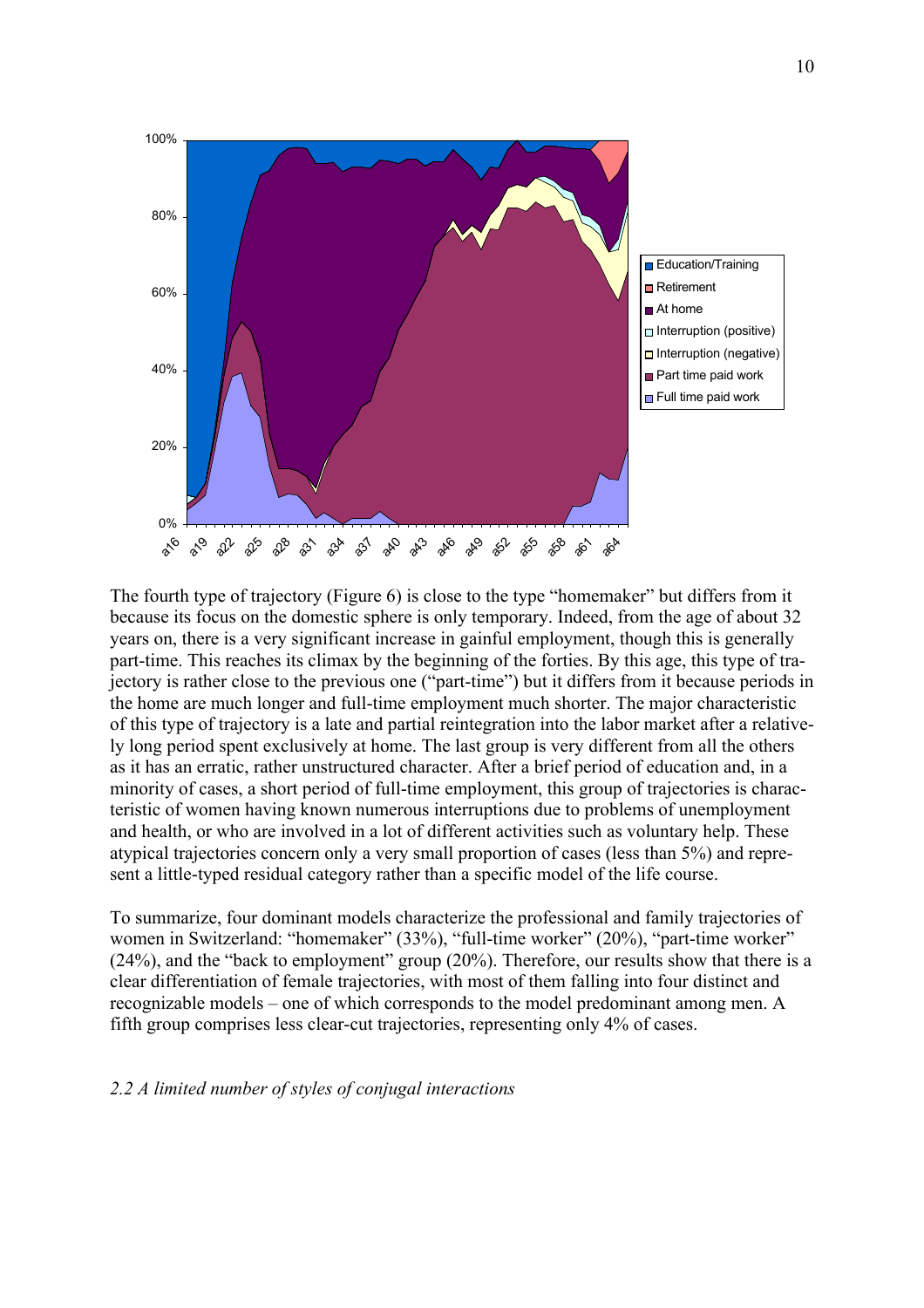

The fourth type of trajectory (Figure 6) is close to the type "homemaker" but differs from it because its focus on the domestic sphere is only temporary. Indeed, from the age of about 32 years on, there is a very significant increase in gainful employment, though this is generally part-time. This reaches its climax by the beginning of the forties. By this age, this type of trajectory is rather close to the previous one ("part-time") but it differs from it because periods in the home are much longer and full-time employment much shorter. The major characteristic of this type of trajectory is a late and partial reintegration into the labor market after a relatively long period spent exclusively at home. The last group is very different from all the others as it has an erratic, rather unstructured character. After a brief period of education and, in a minority of cases, a short period of full-time employment, this group of trajectories is characteristic of women having known numerous interruptions due to problems of unemployment and health, or who are involved in a lot of different activities such as voluntary help. These atypical trajectories concern only a very small proportion of cases (less than 5%) and represent a little-typed residual category rather than a specific model of the life course.

To summarize, four dominant models characterize the professional and family trajectories of women in Switzerland: "homemaker" (33%), "full-time worker" (20%), "part-time worker" (24%), and the "back to employment" group (20%). Therefore, our results show that there is a clear differentiation of female trajectories, with most of them falling into four distinct and recognizable models – one of which corresponds to the model predominant among men. A fifth group comprises less clear-cut trajectories, representing only 4% of cases.

#### *2.2 A limited number of styles of conjugal interactions*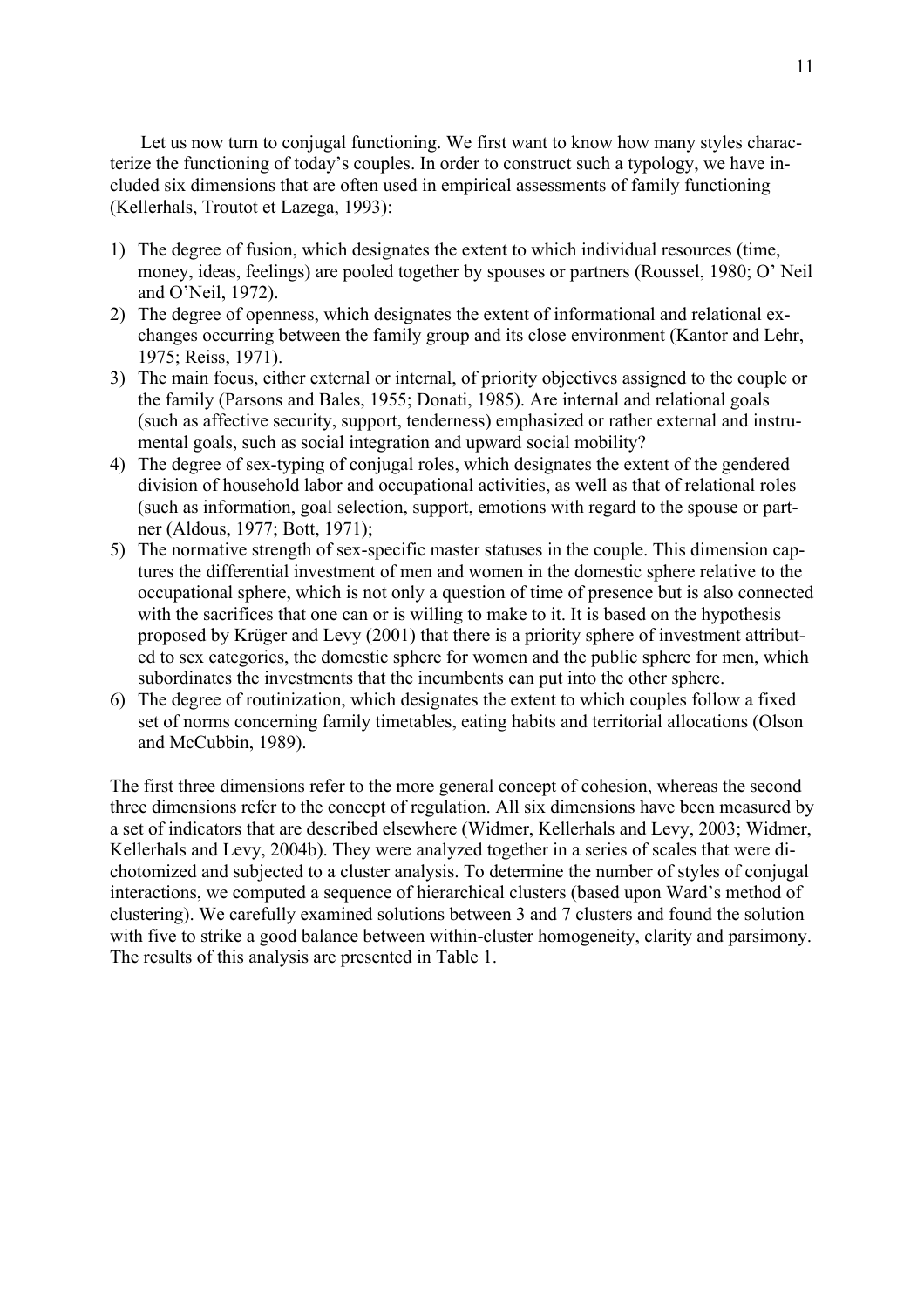Let us now turn to conjugal functioning. We first want to know how many styles characterize the functioning of today's couples. In order to construct such a typology, we have included six dimensions that are often used in empirical assessments of family functioning (Kellerhals, Troutot et Lazega, 1993):

- 1) The degree of fusion, which designates the extent to which individual resources (time, money, ideas, feelings) are pooled together by spouses or partners (Roussel, 1980; O' Neil and O'Neil, 1972).
- 2) The degree of openness, which designates the extent of informational and relational exchanges occurring between the family group and its close environment (Kantor and Lehr, 1975; Reiss, 1971).
- 3) The main focus, either external or internal, of priority objectives assigned to the couple or the family (Parsons and Bales, 1955; Donati, 1985). Are internal and relational goals (such as affective security, support, tenderness) emphasized or rather external and instrumental goals, such as social integration and upward social mobility?
- 4) The degree of sex-typing of conjugal roles, which designates the extent of the gendered division of household labor and occupational activities, as well as that of relational roles (such as information, goal selection, support, emotions with regard to the spouse or partner (Aldous, 1977; Bott, 1971);
- 5) The normative strength of sex-specific master statuses in the couple. This dimension captures the differential investment of men and women in the domestic sphere relative to the occupational sphere, which is not only a question of time of presence but is also connected with the sacrifices that one can or is willing to make to it. It is based on the hypothesis proposed by Krüger and Levy (2001) that there is a priority sphere of investment attributed to sex categories, the domestic sphere for women and the public sphere for men, which subordinates the investments that the incumbents can put into the other sphere.
- 6) The degree of routinization, which designates the extent to which couples follow a fixed set of norms concerning family timetables, eating habits and territorial allocations (Olson and McCubbin, 1989).

The first three dimensions refer to the more general concept of cohesion, whereas the second three dimensions refer to the concept of regulation. All six dimensions have been measured by a set of indicators that are described elsewhere (Widmer, Kellerhals and Levy, 2003; Widmer, Kellerhals and Levy, 2004b). They were analyzed together in a series of scales that were dichotomized and subjected to a cluster analysis. To determine the number of styles of conjugal interactions, we computed a sequence of hierarchical clusters (based upon Ward's method of clustering). We carefully examined solutions between 3 and 7 clusters and found the solution with five to strike a good balance between within-cluster homogeneity, clarity and parsimony. The results of this analysis are presented in Table 1.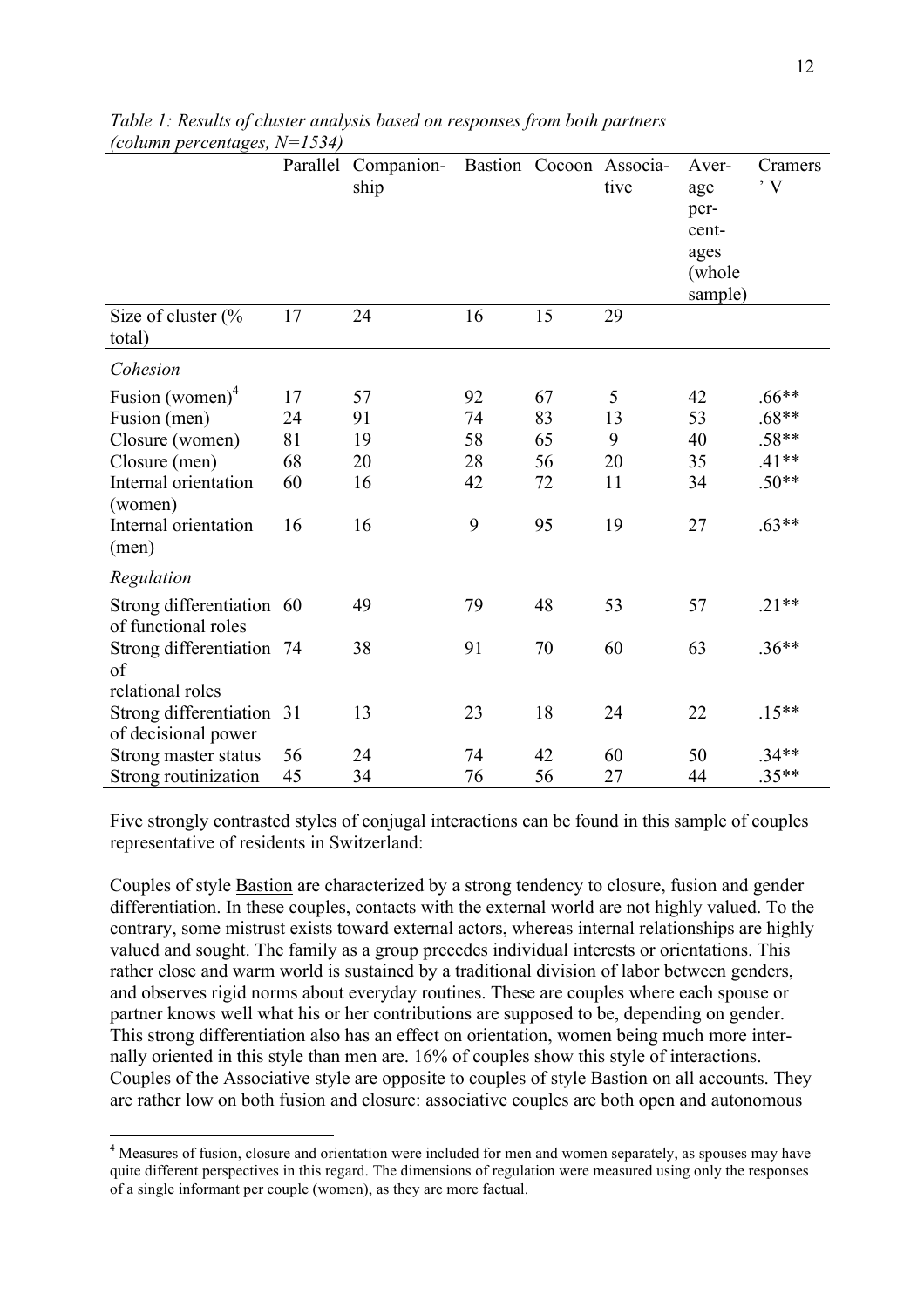|                                                  |    | Parallel Companion-<br>ship |    |    | Bastion Cocoon Associa-<br>tive | Aver-<br>age<br>per-<br>cent-<br>ages<br>(whole)<br>sample) | Cramers<br>$\cdot$ V |
|--------------------------------------------------|----|-----------------------------|----|----|---------------------------------|-------------------------------------------------------------|----------------------|
| Size of cluster $\frac{6}{6}$<br>total)          | 17 | 24                          | 16 | 15 | 29                              |                                                             |                      |
| Cohesion                                         |    |                             |    |    |                                 |                                                             |                      |
| Fusion (women) $4$                               | 17 | 57                          | 92 | 67 | 5                               | 42                                                          | $.66**$              |
| Fusion (men)                                     | 24 | 91                          | 74 | 83 | 13                              | 53                                                          | $.68**$              |
| Closure (women)                                  | 81 | 19                          | 58 | 65 | 9                               | 40                                                          | $.58**$              |
| Closure (men)                                    | 68 | 20                          | 28 | 56 | 20                              | 35                                                          | $.41**$              |
| Internal orientation<br>(women)                  | 60 | 16                          | 42 | 72 | 11                              | 34                                                          | $.50**$              |
| Internal orientation<br>(men)                    | 16 | 16                          | 9  | 95 | 19                              | 27                                                          | $.63**$              |
| Regulation                                       |    |                             |    |    |                                 |                                                             |                      |
| Strong differentiation 60<br>of functional roles |    | 49                          | 79 | 48 | 53                              | 57                                                          | $.21**$              |
| Strong differentiation 74<br>of                  |    | 38                          | 91 | 70 | 60                              | 63                                                          | $.36**$              |
| relational roles                                 |    |                             |    |    |                                 |                                                             |                      |
| Strong differentiation 31<br>of decisional power |    | 13                          | 23 | 18 | 24                              | 22                                                          | $.15**$              |
| Strong master status                             | 56 | 24                          | 74 | 42 | 60                              | 50                                                          | $.34**$              |
| Strong routinization                             | 45 | 34                          | 76 | 56 | 27                              | 44                                                          | $.35**$              |

*Table 1: Results of cluster analysis based on responses from both partners (column percentages, N=1534)*

Five strongly contrasted styles of conjugal interactions can be found in this sample of couples representative of residents in Switzerland:

Couples of style Bastion are characterized by a strong tendency to closure, fusion and gender differentiation. In these couples, contacts with the external world are not highly valued. To the contrary, some mistrust exists toward external actors, whereas internal relationships are highly valued and sought. The family as a group precedes individual interests or orientations. This rather close and warm world is sustained by a traditional division of labor between genders, and observes rigid norms about everyday routines. These are couples where each spouse or partner knows well what his or her contributions are supposed to be, depending on gender. This strong differentiation also has an effect on orientation, women being much more internally oriented in this style than men are. 16% of couples show this style of interactions. Couples of the Associative style are opposite to couples of style Bastion on all accounts. They are rather low on both fusion and closure: associative couples are both open and autonomous

<sup>&</sup>lt;sup>4</sup> Measures of fusion, closure and orientation were included for men and women separately, as spouses may have quite different perspectives in this regard. The dimensions of regulation were measured using only the responses of a single informant per couple (women), as they are more factual.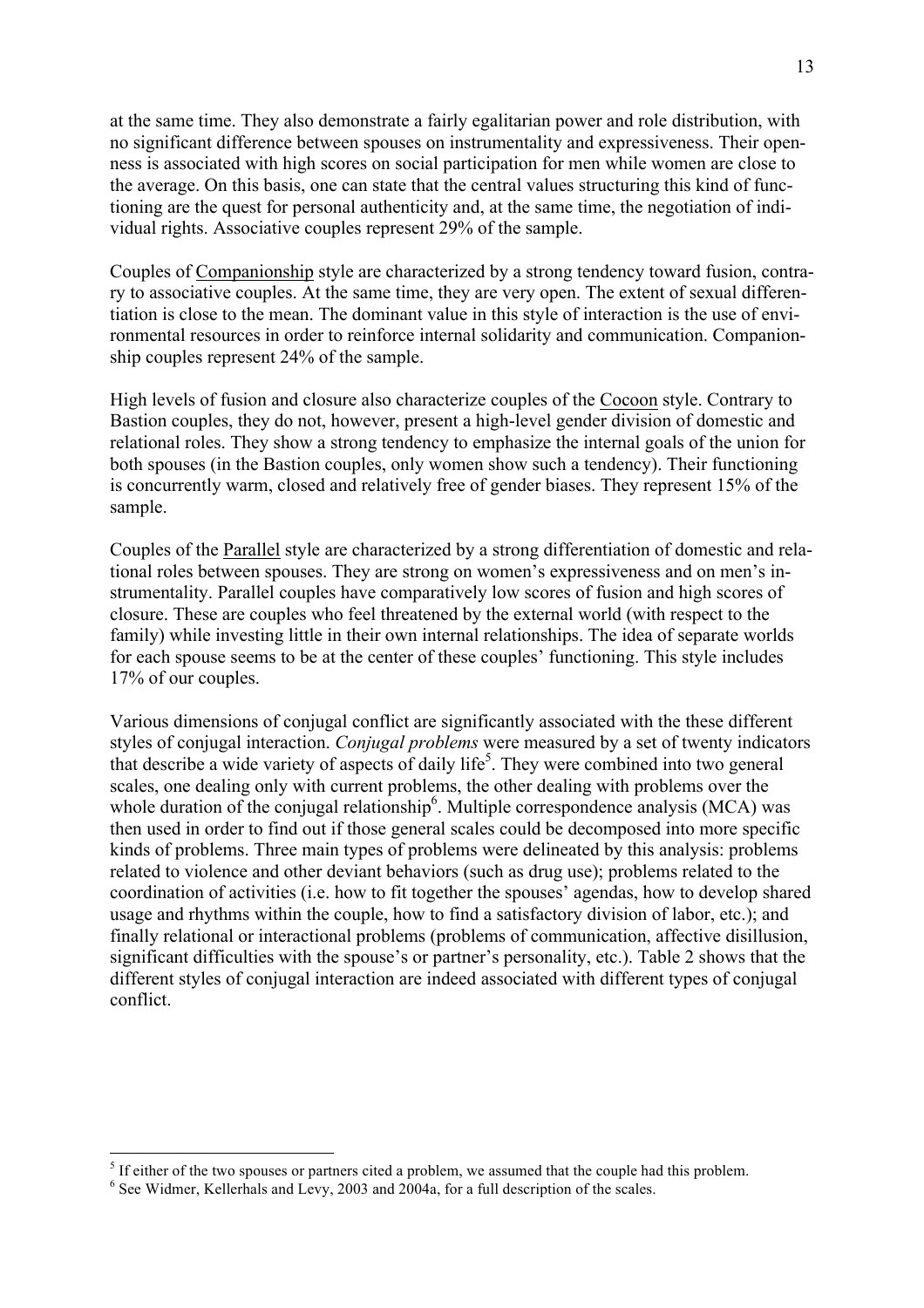at the same time. They also demonstrate a fairly egalitarian power and role distribution, with no significant difference between spouses on instrumentality and expressiveness. Their openness is associated with high scores on social participation for men while women are close to the average. On this basis, one can state that the central values structuring this kind of functioning are the quest for personal authenticity and, at the same time, the negotiation of individual rights. Associative couples represent 29% of the sample.

Couples of Companionship style are characterized by a strong tendency toward fusion, contrary to associative couples. At the same time, they are very open. The extent of sexual differentiation is close to the mean. The dominant value in this style of interaction is the use of environmental resources in order to reinforce internal solidarity and communication. Companionship couples represent 24% of the sample.

High levels of fusion and closure also characterize couples of the Cocoon style. Contrary to Bastion couples, they do not, however, present a high-level gender division of domestic and relational roles. They show a strong tendency to emphasize the internal goals of the union for both spouses (in the Bastion couples, only women show such a tendency). Their functioning is concurrently warm, closed and relatively free of gender biases. They represent 15% of the sample.

Couples of the Parallel style are characterized by a strong differentiation of domestic and relational roles between spouses. They are strong on women's expressiveness and on men's instrumentality. Parallel couples have comparatively low scores of fusion and high scores of closure. These are couples who feel threatened by the external world (with respect to the family) while investing little in their own internal relationships. The idea of separate worlds for each spouse seems to be at the center of these couples' functioning. This style includes 17% of our couples.

Various dimensions of conjugal conflict are significantly associated with the these different styles of conjugal interaction. *Conjugal problems* were measured by a set of twenty indicators that describe a wide variety of aspects of daily life<sup>5</sup>. They were combined into two general scales, one dealing only with current problems, the other dealing with problems over the whole duration of the conjugal relationship<sup>6</sup>. Multiple correspondence analysis (MCA) was then used in order to find out if those general scales could be decomposed into more specific kinds of problems. Three main types of problems were delineated by this analysis: problems related to violence and other deviant behaviors (such as drug use); problems related to the coordination of activities (i.e. how to fit together the spouses' agendas, how to develop shared usage and rhythms within the couple, how to find a satisfactory division of labor, etc.); and finally relational or interactional problems (problems of communication, affective disillusion, significant difficulties with the spouse's or partner's personality, etc.). Table 2 shows that the different styles of conjugal interaction are indeed associated with different types of conjugal conflict.

 $\frac{5}{15}$  If either of the two spouses or partners cited a problem, we assumed that the couple had this problem.  $\frac{6}{15}$  See Widmer, Kellerhals and Levy, 2003 and 2004a, for a full description of the scales.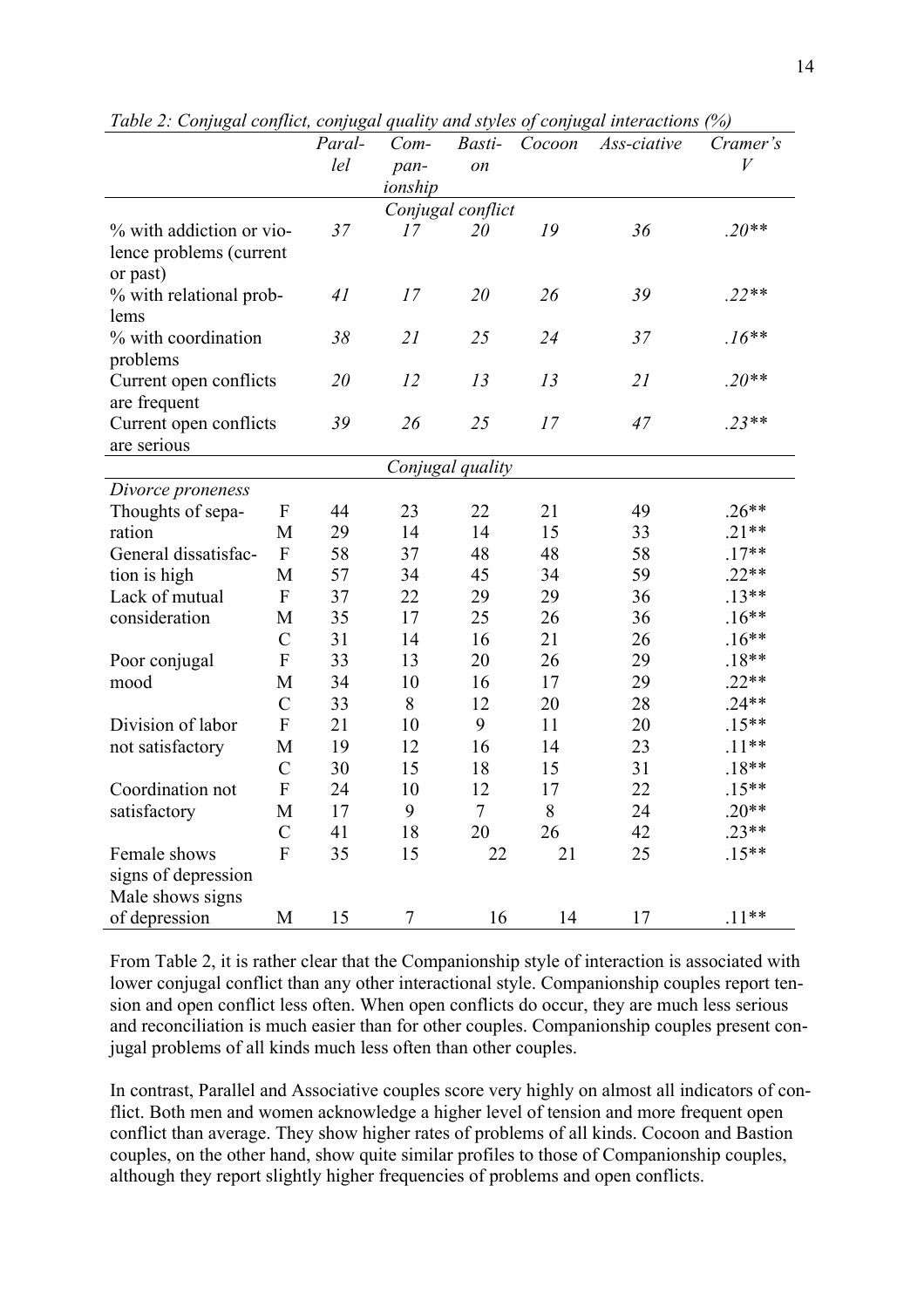| Tuble 2. Confugui conflict, confugui quality and styles of confugui interactions (70) |                           | Paral- | $Com-$         | Basti-                  | Cocoon | Ass-ciative | Cramer's  |
|---------------------------------------------------------------------------------------|---------------------------|--------|----------------|-------------------------|--------|-------------|-----------|
|                                                                                       |                           | lel    |                |                         |        |             | $\bar{V}$ |
|                                                                                       |                           |        | pan-           | on                      |        |             |           |
|                                                                                       |                           |        | ionship        |                         |        |             |           |
|                                                                                       |                           | 37     | 17             | Conjugal conflict<br>20 | 19     | 36          | $.20**$   |
| % with addiction or vio-                                                              |                           |        |                |                         |        |             |           |
| lence problems (current                                                               |                           |        |                |                         |        |             |           |
| or past)<br>% with relational prob-                                                   |                           | 41     | 17             | 20                      | 26     | 39          | $.22**$   |
| lems                                                                                  |                           |        |                |                         |        |             |           |
| % with coordination                                                                   |                           | 38     | 21             | 25                      | 24     | 37          | $.16**$   |
| problems                                                                              |                           |        |                |                         |        |             |           |
| Current open conflicts                                                                |                           | 20     | 12             | 13                      | 13     | 21          | $.20**$   |
| are frequent                                                                          |                           |        |                |                         |        |             |           |
| Current open conflicts                                                                |                           | 39     | 26             | 25                      | 17     | 47          | $.23**$   |
| are serious                                                                           |                           |        |                |                         |        |             |           |
|                                                                                       |                           |        |                | Conjugal quality        |        |             |           |
| Divorce proneness                                                                     |                           |        |                |                         |        |             |           |
| Thoughts of sepa-                                                                     | $\boldsymbol{\mathrm{F}}$ | 44     | 23             | 22                      | 21     | 49          | $.26**$   |
| ration                                                                                | M                         | 29     | 14             | 14                      | 15     | 33          | $.21**$   |
| General dissatisfac-                                                                  | ${\bf F}$                 | 58     | 37             | 48                      | 48     | 58          | $.17**$   |
| tion is high                                                                          | M                         | 57     | 34             | 45                      | 34     | 59          | $.22**$   |
| Lack of mutual                                                                        | $\boldsymbol{\mathrm{F}}$ | 37     | 22             | 29                      | 29     | 36          | $.13**$   |
| consideration                                                                         | M                         | 35     | 17             | 25                      | 26     | 36          | $.16**$   |
|                                                                                       | $\mathcal{C}$             | 31     | 14             | 16                      | 21     | 26          | $.16**$   |
| Poor conjugal                                                                         | ${\bf F}$                 | 33     | 13             | 20                      | 26     | 29          | $.18**$   |
| mood                                                                                  | M                         | 34     | 10             | 16                      | 17     | 29          | $.22**$   |
|                                                                                       | $\overline{C}$            | 33     | 8              | 12                      | 20     | 28          | $.24**$   |
| Division of labor                                                                     | ${\bf F}$                 | 21     | 10             | 9                       | 11     | 20          | $.15**$   |
| not satisfactory                                                                      | M                         | 19     | 12             | 16                      | 14     | 23          | $.11***$  |
|                                                                                       | $\overline{C}$            | 30     | 15             | 18                      | 15     | 31          | $.18**$   |
| Coordination not                                                                      | ${\bf F}$                 | 24     | 10             | 12                      | 17     | 22          | $.15***$  |
| satisfactory                                                                          | M                         | 17     | 9              | $\overline{7}$          | 8      | 24          | $.20**$   |
|                                                                                       | $\mathcal{C}$             | 41     | 18             | 20                      | 26     | 42          | $.23**$   |
| Female shows                                                                          | $\mathbf{F}$              | 35     | 15             | 22                      | 21     | 25          | $.15**$   |
| signs of depression                                                                   |                           |        |                |                         |        |             |           |
| Male shows signs                                                                      |                           |        |                |                         |        |             |           |
| of depression                                                                         | M                         | 15     | $\overline{7}$ | 16                      | 14     | 17          | $.11***$  |

*Table 2: Conjugal conflict, conjugal quality and styles of conjugal interactions (%)*

From Table 2, it is rather clear that the Companionship style of interaction is associated with lower conjugal conflict than any other interactional style. Companionship couples report tension and open conflict less often. When open conflicts do occur, they are much less serious and reconciliation is much easier than for other couples. Companionship couples present conjugal problems of all kinds much less often than other couples.

In contrast, Parallel and Associative couples score very highly on almost all indicators of conflict. Both men and women acknowledge a higher level of tension and more frequent open conflict than average. They show higher rates of problems of all kinds. Cocoon and Bastion couples, on the other hand, show quite similar profiles to those of Companionship couples, although they report slightly higher frequencies of problems and open conflicts.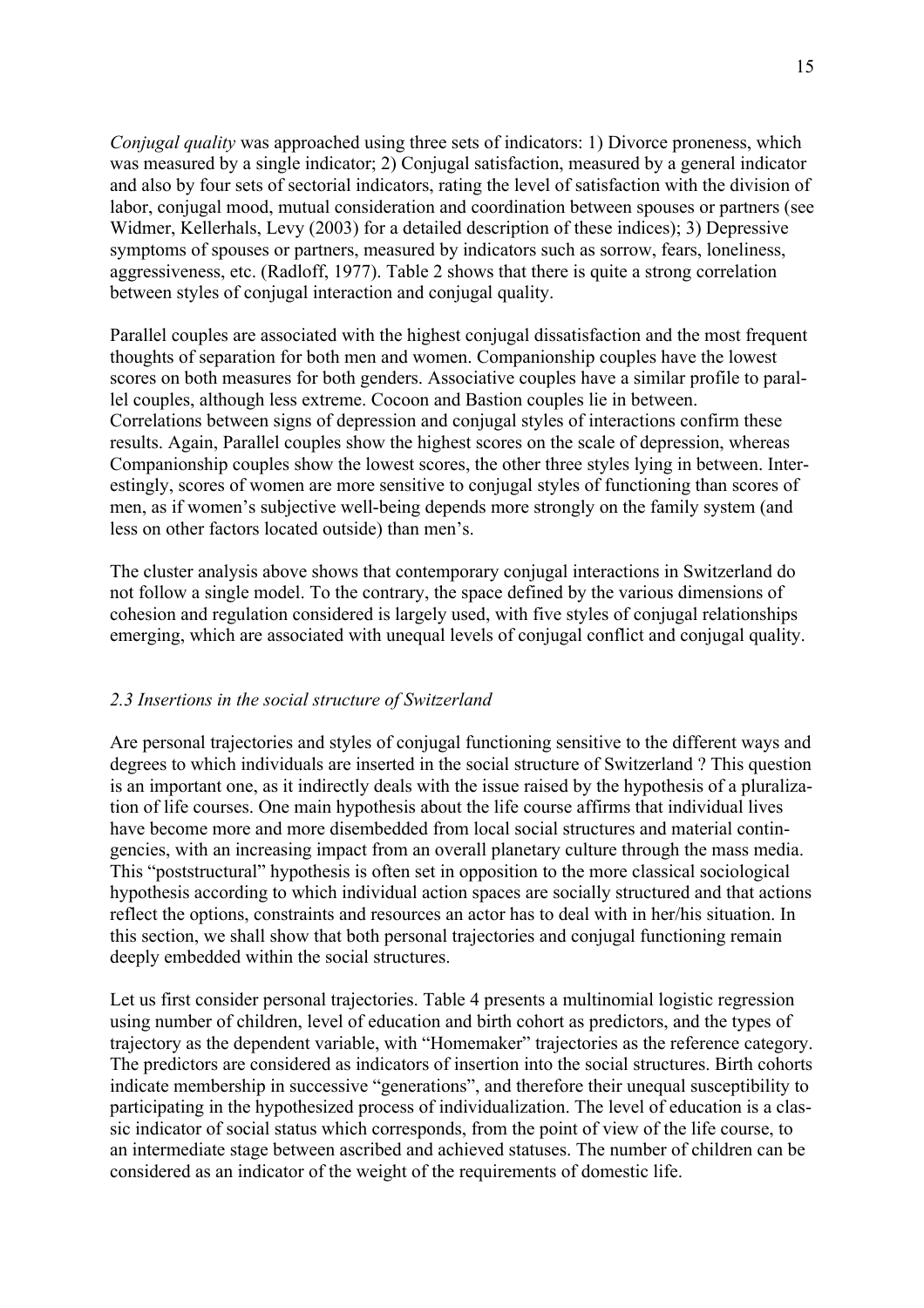*Conjugal quality* was approached using three sets of indicators: 1) Divorce proneness, which was measured by a single indicator; 2) Conjugal satisfaction, measured by a general indicator and also by four sets of sectorial indicators, rating the level of satisfaction with the division of labor, conjugal mood, mutual consideration and coordination between spouses or partners (see Widmer, Kellerhals, Levy (2003) for a detailed description of these indices); 3) Depressive symptoms of spouses or partners, measured by indicators such as sorrow, fears, loneliness, aggressiveness, etc. (Radloff, 1977). Table 2 shows that there is quite a strong correlation between styles of conjugal interaction and conjugal quality.

Parallel couples are associated with the highest conjugal dissatisfaction and the most frequent thoughts of separation for both men and women. Companionship couples have the lowest scores on both measures for both genders. Associative couples have a similar profile to parallel couples, although less extreme. Cocoon and Bastion couples lie in between. Correlations between signs of depression and conjugal styles of interactions confirm these results. Again, Parallel couples show the highest scores on the scale of depression, whereas Companionship couples show the lowest scores, the other three styles lying in between. Interestingly, scores of women are more sensitive to conjugal styles of functioning than scores of men, as if women's subjective well-being depends more strongly on the family system (and less on other factors located outside) than men's.

The cluster analysis above shows that contemporary conjugal interactions in Switzerland do not follow a single model. To the contrary, the space defined by the various dimensions of cohesion and regulation considered is largely used, with five styles of conjugal relationships emerging, which are associated with unequal levels of conjugal conflict and conjugal quality.

# *2.3 Insertions in the social structure of Switzerland*

Are personal trajectories and styles of conjugal functioning sensitive to the different ways and degrees to which individuals are inserted in the social structure of Switzerland ? This question is an important one, as it indirectly deals with the issue raised by the hypothesis of a pluralization of life courses. One main hypothesis about the life course affirms that individual lives have become more and more disembedded from local social structures and material contingencies, with an increasing impact from an overall planetary culture through the mass media. This "poststructural" hypothesis is often set in opposition to the more classical sociological hypothesis according to which individual action spaces are socially structured and that actions reflect the options, constraints and resources an actor has to deal with in her/his situation. In this section, we shall show that both personal trajectories and conjugal functioning remain deeply embedded within the social structures.

Let us first consider personal trajectories. Table 4 presents a multinomial logistic regression using number of children, level of education and birth cohort as predictors, and the types of trajectory as the dependent variable, with "Homemaker" trajectories as the reference category. The predictors are considered as indicators of insertion into the social structures. Birth cohorts indicate membership in successive "generations", and therefore their unequal susceptibility to participating in the hypothesized process of individualization. The level of education is a classic indicator of social status which corresponds, from the point of view of the life course, to an intermediate stage between ascribed and achieved statuses. The number of children can be considered as an indicator of the weight of the requirements of domestic life.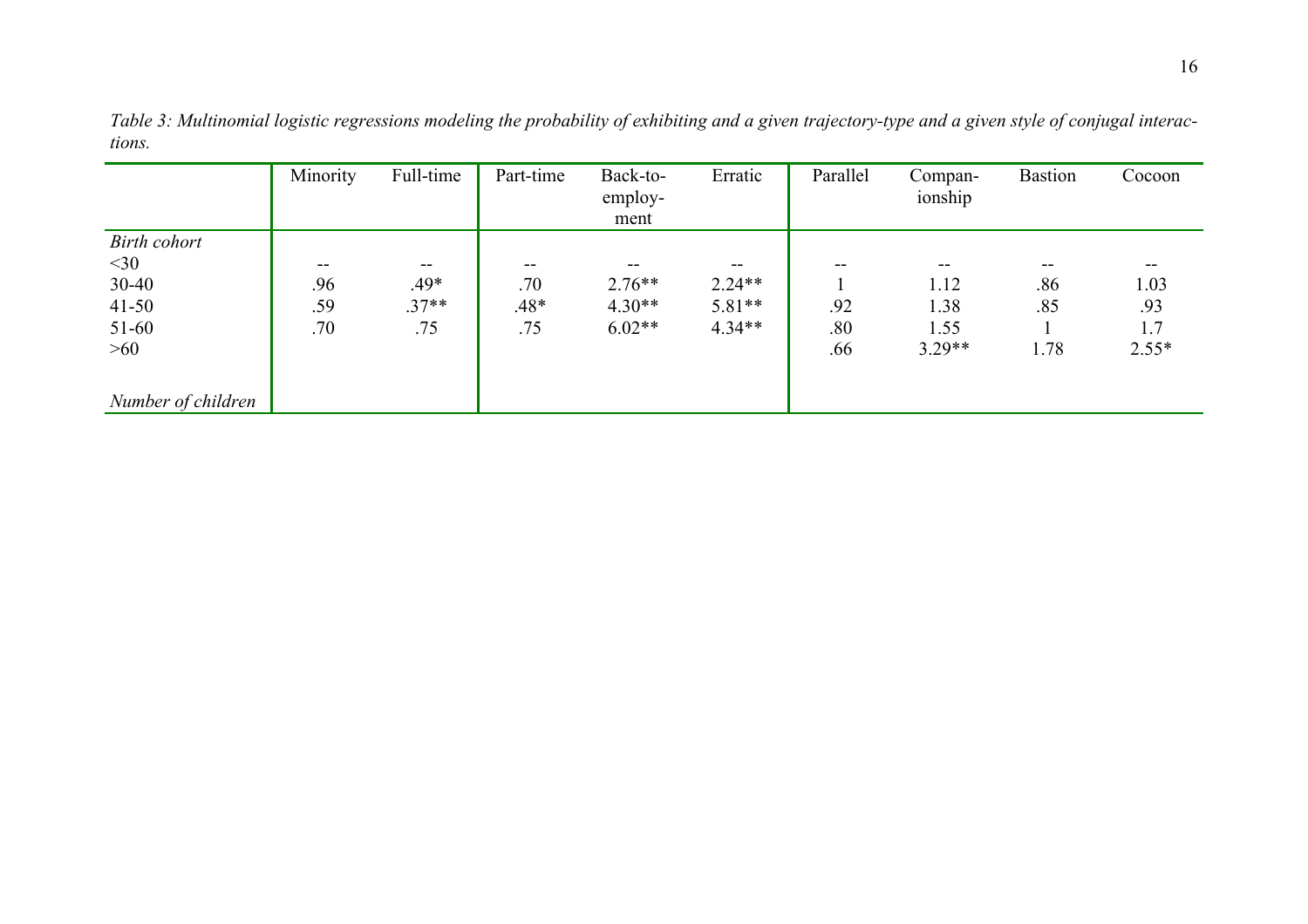|                     | Minority | Full-time  | Part-time | Back-to- | Erratic  | Parallel | Compan-  | <b>Bastion</b> | Cocoon  |
|---------------------|----------|------------|-----------|----------|----------|----------|----------|----------------|---------|
|                     |          |            |           | employ-  |          |          | ionship  |                |         |
|                     |          |            |           | ment     |          |          |          |                |         |
| <b>Birth cohort</b> |          |            |           |          |          |          |          |                |         |
| $<$ 30              | $- -$    | $\sim$ $-$ | $- -$     | --       | --       | --       | --       | --             | $- -$   |
| $30 - 40$           | .96      | .49*       | .70       | $2.76**$ | $2.24**$ |          | 1.12     | .86            | 1.03    |
| $41 - 50$           | .59      | $.37**$    | $.48*$    | $4.30**$ | $5.81**$ | .92      | 1.38     | .85            | .93     |
| $51-60$             | .70      | .75        | .75       | $6.02**$ | $4.34**$ | .80      | 1.55     |                | 1.7     |
| >60                 |          |            |           |          |          | .66      | $3.29**$ | 1.78           | $2.55*$ |
|                     |          |            |           |          |          |          |          |                |         |
| Number of children  |          |            |           |          |          |          |          |                |         |

*Table 3: Multinomial logistic regressions modeling the probability of exhibiting and a given trajectory-type and a given style of conjugal interactions.*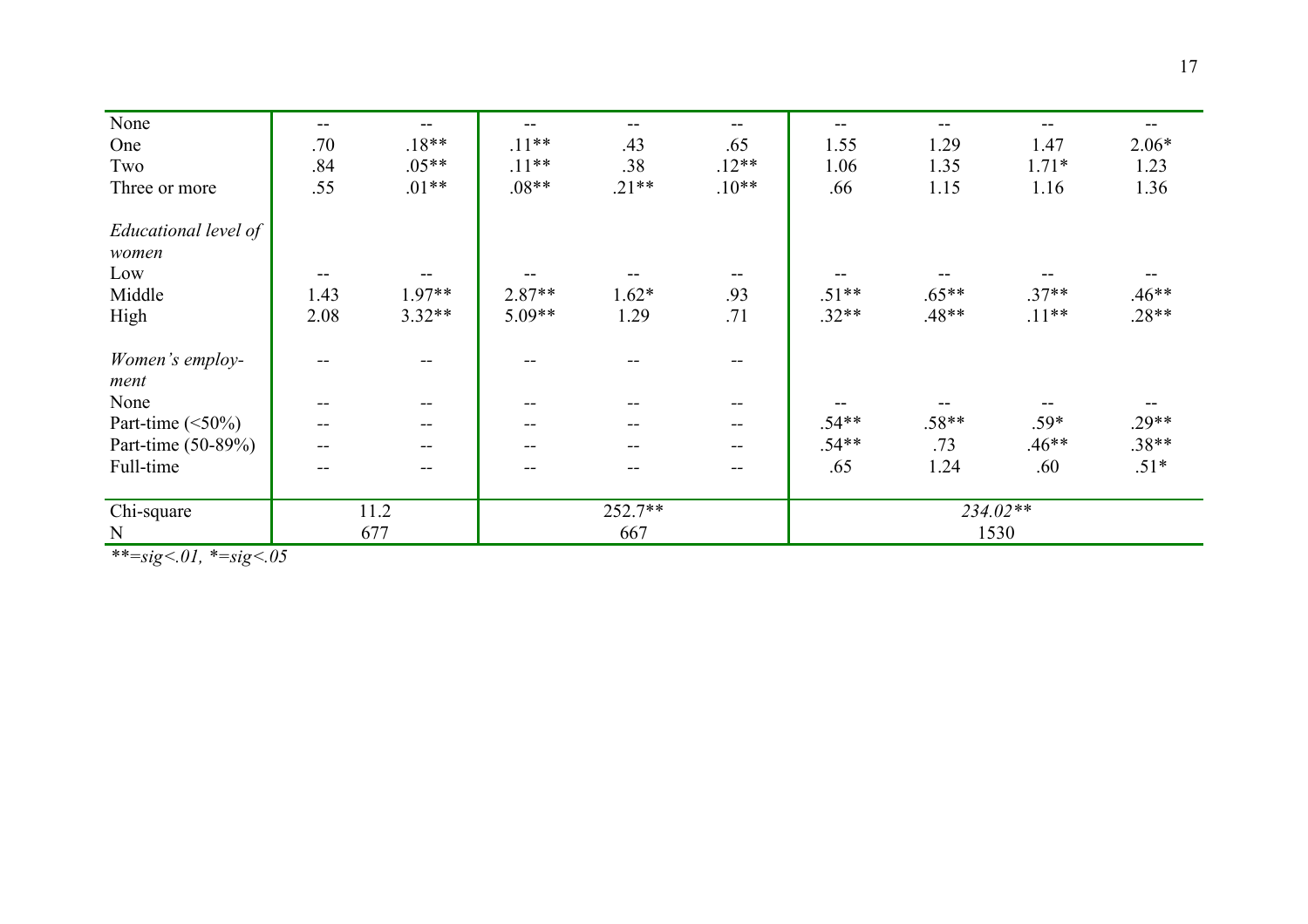| None                    | $- -$             | $\overline{\phantom{m}}$ |         |         | $\qquad \qquad -$        | $- -$    | --      | --      |         |
|-------------------------|-------------------|--------------------------|---------|---------|--------------------------|----------|---------|---------|---------|
| One                     | .70               | $.18**$                  | $.11**$ | .43     | .65                      | 1.55     | 1.29    | 1.47    | $2.06*$ |
| Two                     | .84               | $.05**$                  | $.11**$ | .38     | $.12**$                  | 1.06     | 1.35    | $1.71*$ | 1.23    |
| Three or more           | .55               | $.01**$                  | $.08**$ | $.21**$ | $.10**$                  | .66      | 1.15    | 1.16    | 1.36    |
| Educational level of    |                   |                          |         |         |                          |          |         |         |         |
| women                   |                   |                          |         |         |                          |          |         |         |         |
| Low                     |                   |                          |         |         |                          |          |         |         |         |
| Middle                  | 1.43              | 1.97**                   | 2.87**  | $1.62*$ | .93                      | $.51**$  | $.65**$ | $.37**$ | $.46**$ |
| High                    | 2.08              | $3.32**$                 | 5.09**  | 1.29    | .71                      | $.32**$  | $.48**$ | $.11**$ | $.28**$ |
| Women's employ-<br>ment |                   |                          |         |         |                          |          |         |         |         |
| None                    | $\hspace{0.05cm}$ | $\qquad \qquad \qquad -$ | $- -$   | --      | $\sim$                   |          |         | --      |         |
| Part-time $(\leq 50\%)$ |                   |                          | --      |         | $\overline{\phantom{m}}$ | $.54**$  | $.58**$ | $.59*$  | $.29**$ |
| Part-time (50-89%)      |                   | $\qquad \qquad -$        | --      | --      | $\frac{1}{2}$            | $.54**$  | .73     | $.46**$ | $.38**$ |
| Full-time               |                   | --                       |         |         | $\overline{\phantom{m}}$ | .65      | 1.24    | .60     | $.51*$  |
| Chi-square              | 11.2              |                          | 252.7** |         |                          | 234.02** |         |         |         |
| N                       | 677<br>667        |                          |         |         | 1530                     |          |         |         |         |

*\*\*=sig<.01, \*=sig<.05*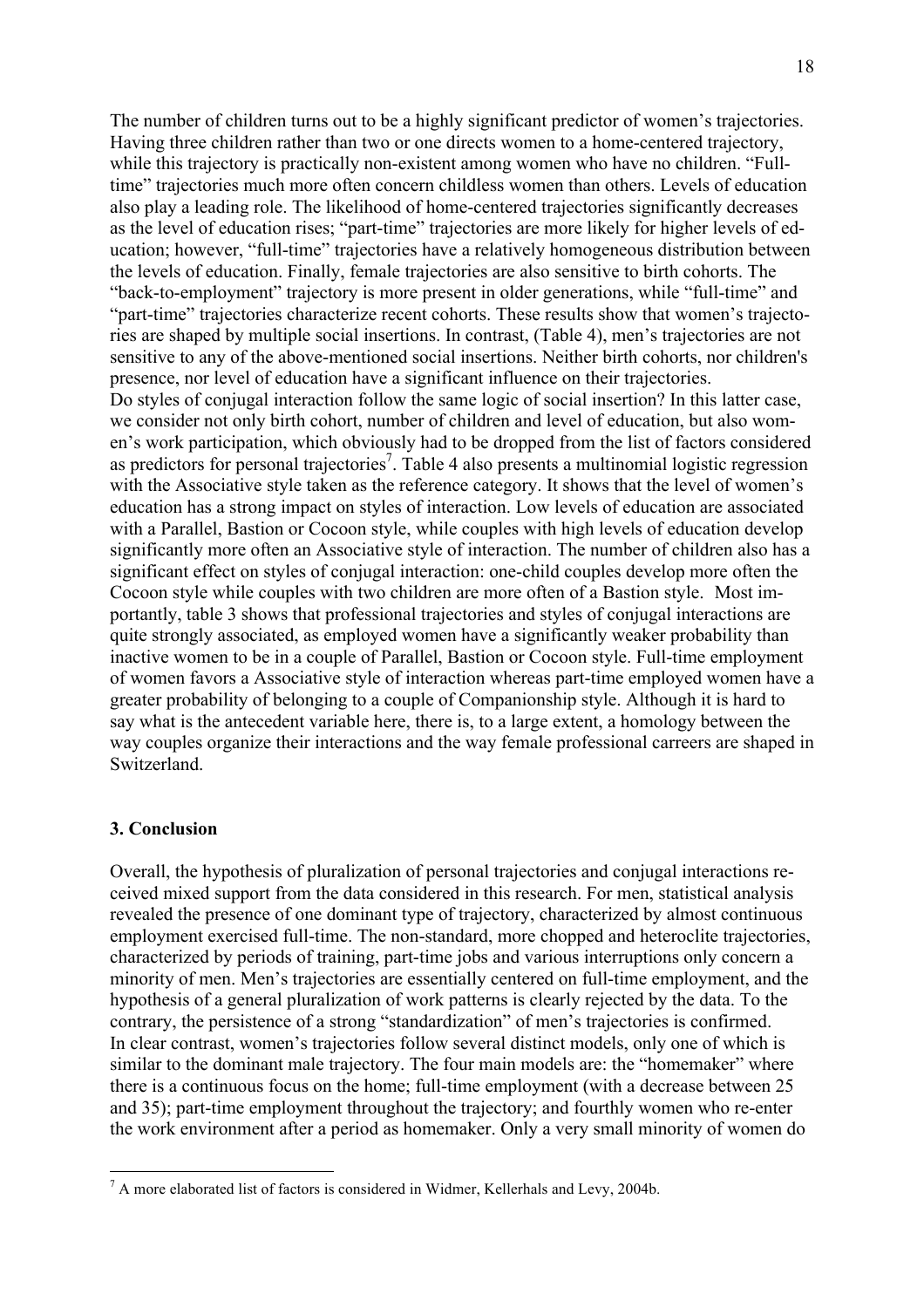The number of children turns out to be a highly significant predictor of women's trajectories. Having three children rather than two or one directs women to a home-centered trajectory, while this trajectory is practically non-existent among women who have no children. "Fulltime" trajectories much more often concern childless women than others. Levels of education also play a leading role. The likelihood of home-centered trajectories significantly decreases as the level of education rises; "part-time" trajectories are more likely for higher levels of education; however, "full-time" trajectories have a relatively homogeneous distribution between the levels of education. Finally, female trajectories are also sensitive to birth cohorts. The "back-to-employment" trajectory is more present in older generations, while "full-time" and "part-time" trajectories characterize recent cohorts. These results show that women's trajectories are shaped by multiple social insertions. In contrast, (Table 4), men's trajectories are not sensitive to any of the above-mentioned social insertions. Neither birth cohorts, nor children's presence, nor level of education have a significant influence on their trajectories. Do styles of conjugal interaction follow the same logic of social insertion? In this latter case, we consider not only birth cohort, number of children and level of education, but also women's work participation, which obviously had to be dropped from the list of factors considered as predictors for personal trajectories<sup>7</sup>. Table 4 also presents a multinomial logistic regression with the Associative style taken as the reference category. It shows that the level of women's education has a strong impact on styles of interaction. Low levels of education are associated with a Parallel, Bastion or Cocoon style, while couples with high levels of education develop significantly more often an Associative style of interaction. The number of children also has a significant effect on styles of conjugal interaction: one-child couples develop more often the Cocoon style while couples with two children are more often of a Bastion style. Most importantly, table 3 shows that professional trajectories and styles of conjugal interactions are quite strongly associated, as employed women have a significantly weaker probability than inactive women to be in a couple of Parallel, Bastion or Cocoon style. Full-time employment of women favors a Associative style of interaction whereas part-time employed women have a greater probability of belonging to a couple of Companionship style. Although it is hard to say what is the antecedent variable here, there is, to a large extent, a homology between the way couples organize their interactions and the way female professional carreers are shaped in Switzerland.

## **3. Conclusion**

Overall, the hypothesis of pluralization of personal trajectories and conjugal interactions received mixed support from the data considered in this research. For men, statistical analysis revealed the presence of one dominant type of trajectory, characterized by almost continuous employment exercised full-time. The non-standard, more chopped and heteroclite trajectories, characterized by periods of training, part-time jobs and various interruptions only concern a minority of men. Men's trajectories are essentially centered on full-time employment, and the hypothesis of a general pluralization of work patterns is clearly rejected by the data. To the contrary, the persistence of a strong "standardization" of men's trajectories is confirmed. In clear contrast, women's trajectories follow several distinct models, only one of which is similar to the dominant male trajectory. The four main models are: the "homemaker" where there is a continuous focus on the home; full-time employment (with a decrease between 25 and 35); part-time employment throughout the trajectory; and fourthly women who re-enter the work environment after a period as homemaker. Only a very small minority of women do

 $<sup>7</sup>$  A more elaborated list of factors is considered in Widmer, Kellerhals and Levy, 2004b.</sup>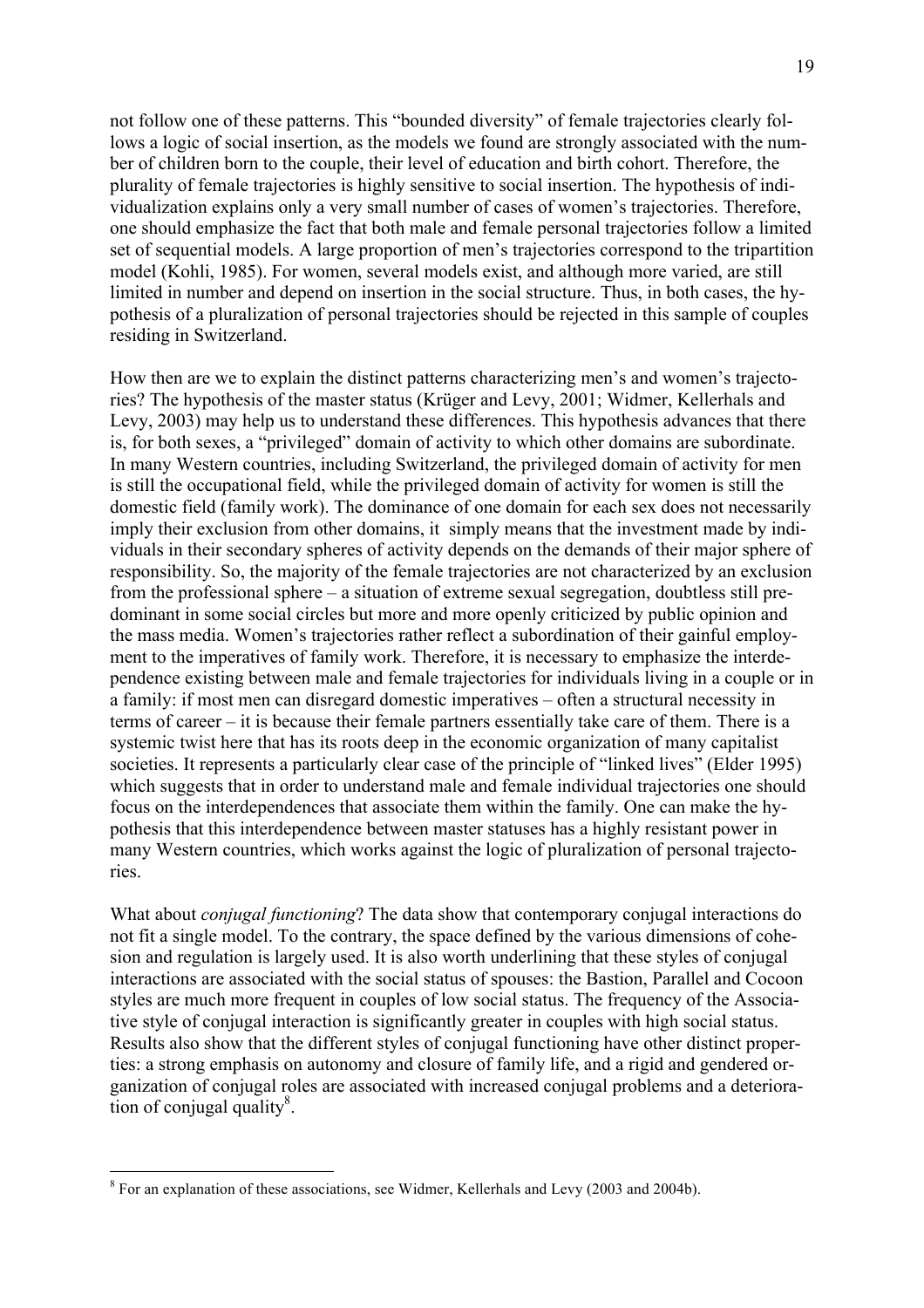not follow one of these patterns. This "bounded diversity" of female trajectories clearly follows a logic of social insertion, as the models we found are strongly associated with the number of children born to the couple, their level of education and birth cohort. Therefore, the plurality of female trajectories is highly sensitive to social insertion. The hypothesis of individualization explains only a very small number of cases of women's trajectories. Therefore, one should emphasize the fact that both male and female personal trajectories follow a limited set of sequential models. A large proportion of men's trajectories correspond to the tripartition model (Kohli, 1985). For women, several models exist, and although more varied, are still limited in number and depend on insertion in the social structure. Thus, in both cases, the hypothesis of a pluralization of personal trajectories should be rejected in this sample of couples residing in Switzerland.

How then are we to explain the distinct patterns characterizing men's and women's trajectories? The hypothesis of the master status (Krüger and Levy, 2001; Widmer, Kellerhals and Levy, 2003) may help us to understand these differences. This hypothesis advances that there is, for both sexes, a "privileged" domain of activity to which other domains are subordinate. In many Western countries, including Switzerland, the privileged domain of activity for men is still the occupational field, while the privileged domain of activity for women is still the domestic field (family work). The dominance of one domain for each sex does not necessarily imply their exclusion from other domains, it simply means that the investment made by individuals in their secondary spheres of activity depends on the demands of their major sphere of responsibility. So, the majority of the female trajectories are not characterized by an exclusion from the professional sphere – a situation of extreme sexual segregation, doubtless still predominant in some social circles but more and more openly criticized by public opinion and the mass media. Women's trajectories rather reflect a subordination of their gainful employment to the imperatives of family work. Therefore, it is necessary to emphasize the interdependence existing between male and female trajectories for individuals living in a couple or in a family: if most men can disregard domestic imperatives – often a structural necessity in terms of career – it is because their female partners essentially take care of them. There is a systemic twist here that has its roots deep in the economic organization of many capitalist societies. It represents a particularly clear case of the principle of "linked lives" (Elder 1995) which suggests that in order to understand male and female individual trajectories one should focus on the interdependences that associate them within the family. One can make the hypothesis that this interdependence between master statuses has a highly resistant power in many Western countries, which works against the logic of pluralization of personal trajectories.

What about *conjugal functioning*? The data show that contemporary conjugal interactions do not fit a single model. To the contrary, the space defined by the various dimensions of cohesion and regulation is largely used. It is also worth underlining that these styles of conjugal interactions are associated with the social status of spouses: the Bastion, Parallel and Cocoon styles are much more frequent in couples of low social status. The frequency of the Associative style of conjugal interaction is significantly greater in couples with high social status. Results also show that the different styles of conjugal functioning have other distinct properties: a strong emphasis on autonomy and closure of family life, and a rigid and gendered organization of conjugal roles are associated with increased conjugal problems and a deteriora- $\frac{3}{2}$  tion of conjugal quality<sup>8</sup>.

 <sup>8</sup> For an explanation of these associations, see Widmer, Kellerhals and Levy (2003 and 2004b).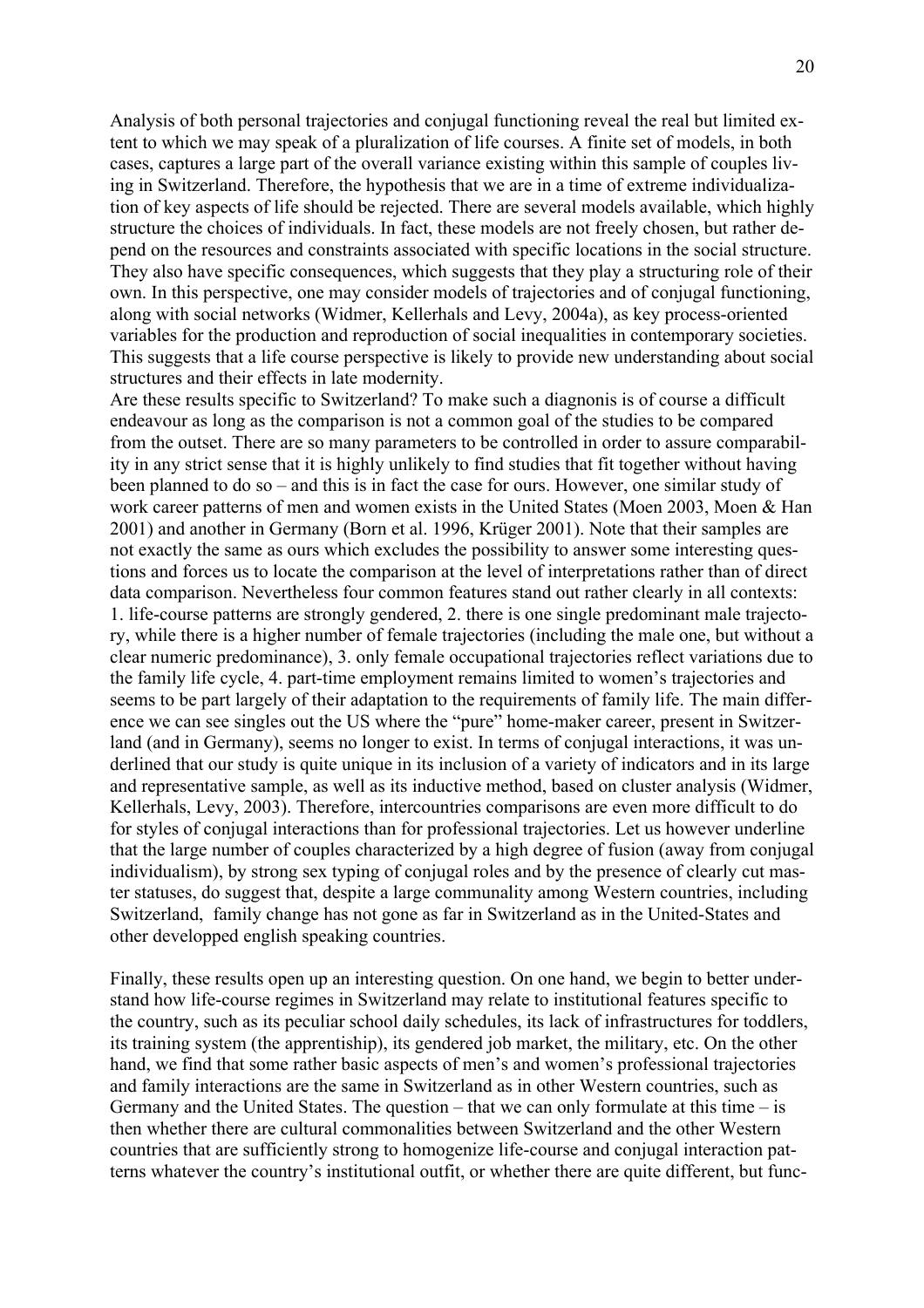Analysis of both personal trajectories and conjugal functioning reveal the real but limited extent to which we may speak of a pluralization of life courses. A finite set of models, in both cases, captures a large part of the overall variance existing within this sample of couples living in Switzerland. Therefore, the hypothesis that we are in a time of extreme individualization of key aspects of life should be rejected. There are several models available, which highly structure the choices of individuals. In fact, these models are not freely chosen, but rather depend on the resources and constraints associated with specific locations in the social structure. They also have specific consequences, which suggests that they play a structuring role of their own. In this perspective, one may consider models of trajectories and of conjugal functioning, along with social networks (Widmer, Kellerhals and Levy, 2004a), as key process-oriented variables for the production and reproduction of social inequalities in contemporary societies. This suggests that a life course perspective is likely to provide new understanding about social structures and their effects in late modernity.

Are these results specific to Switzerland? To make such a diagnonis is of course a difficult endeavour as long as the comparison is not a common goal of the studies to be compared from the outset. There are so many parameters to be controlled in order to assure comparability in any strict sense that it is highly unlikely to find studies that fit together without having been planned to do so – and this is in fact the case for ours. However, one similar study of work career patterns of men and women exists in the United States (Moen 2003, Moen & Han 2001) and another in Germany (Born et al. 1996, Krüger 2001). Note that their samples are not exactly the same as ours which excludes the possibility to answer some interesting questions and forces us to locate the comparison at the level of interpretations rather than of direct data comparison. Nevertheless four common features stand out rather clearly in all contexts: 1. life-course patterns are strongly gendered, 2. there is one single predominant male trajectory, while there is a higher number of female trajectories (including the male one, but without a clear numeric predominance), 3. only female occupational trajectories reflect variations due to the family life cycle, 4. part-time employment remains limited to women's trajectories and seems to be part largely of their adaptation to the requirements of family life. The main difference we can see singles out the US where the "pure" home-maker career, present in Switzerland (and in Germany), seems no longer to exist. In terms of conjugal interactions, it was underlined that our study is quite unique in its inclusion of a variety of indicators and in its large and representative sample, as well as its inductive method, based on cluster analysis (Widmer, Kellerhals, Levy, 2003). Therefore, intercountries comparisons are even more difficult to do for styles of conjugal interactions than for professional trajectories. Let us however underline that the large number of couples characterized by a high degree of fusion (away from conjugal individualism), by strong sex typing of conjugal roles and by the presence of clearly cut master statuses, do suggest that, despite a large communality among Western countries, including Switzerland, family change has not gone as far in Switzerland as in the United-States and other developped english speaking countries.

Finally, these results open up an interesting question. On one hand, we begin to better understand how life-course regimes in Switzerland may relate to institutional features specific to the country, such as its peculiar school daily schedules, its lack of infrastructures for toddlers, its training system (the apprentiship), its gendered job market, the military, etc. On the other hand, we find that some rather basic aspects of men's and women's professional trajectories and family interactions are the same in Switzerland as in other Western countries, such as Germany and the United States. The question – that we can only formulate at this time – is then whether there are cultural commonalities between Switzerland and the other Western countries that are sufficiently strong to homogenize life-course and conjugal interaction patterns whatever the country's institutional outfit, or whether there are quite different, but func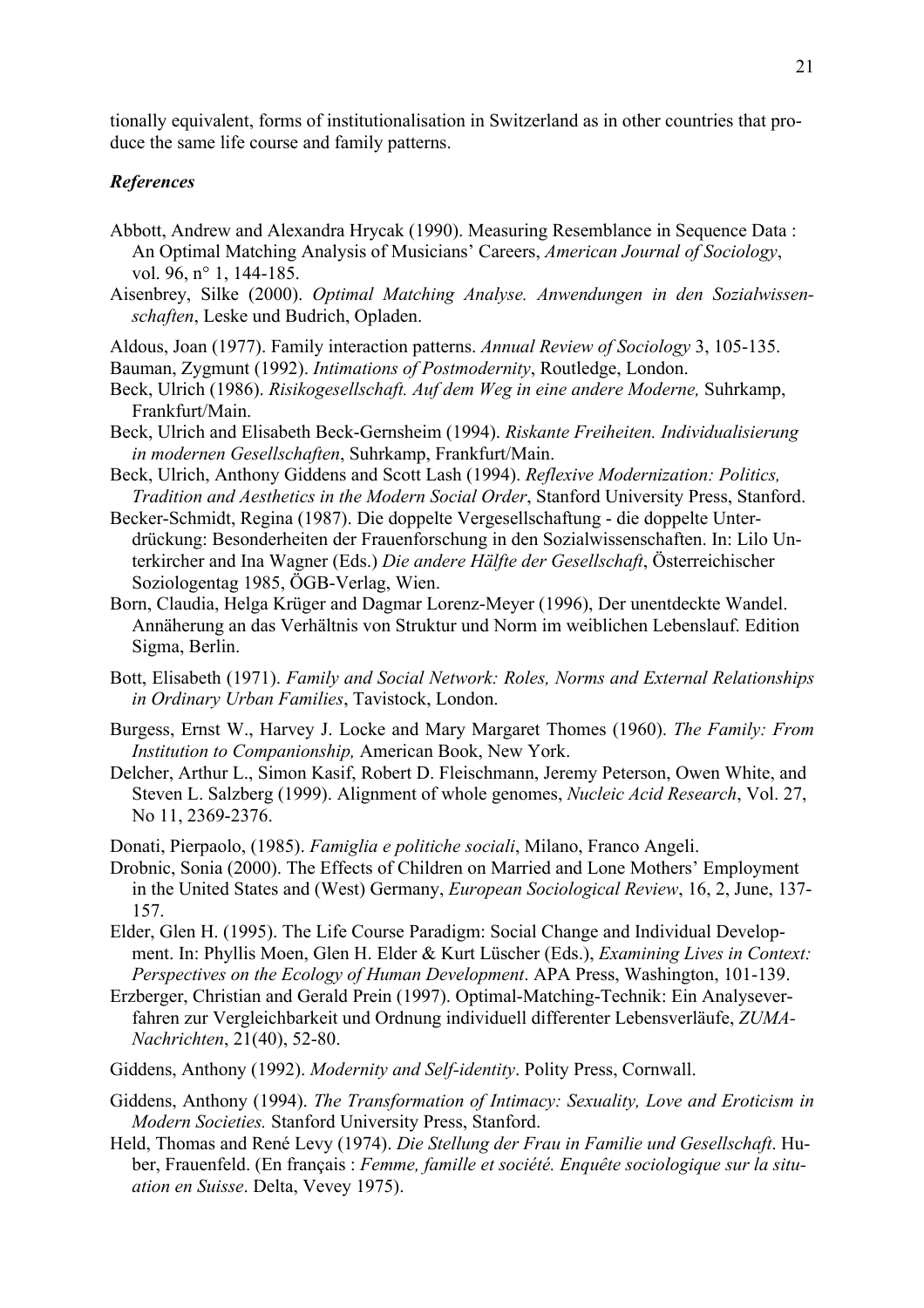tionally equivalent, forms of institutionalisation in Switzerland as in other countries that produce the same life course and family patterns.

## *References*

- Abbott, Andrew and Alexandra Hrycak (1990). Measuring Resemblance in Sequence Data : An Optimal Matching Analysis of Musicians' Careers, *American Journal of Sociology*, vol. 96, n° 1, 144-185.
- Aisenbrey, Silke (2000). *Optimal Matching Analyse. Anwendungen in den Sozialwissenschaften*, Leske und Budrich, Opladen.
- Aldous, Joan (1977). Family interaction patterns. *Annual Review of Sociology* 3, 105-135. Bauman, Zygmunt (1992). *Intimations of Postmodernity*, Routledge, London.
- Beck, Ulrich (1986). *Risikogesellschaft. Auf dem Weg in eine andere Moderne,* Suhrkamp, Frankfurt/Main.
- Beck, Ulrich and Elisabeth Beck-Gernsheim (1994). *Riskante Freiheiten. Individualisierung in modernen Gesellschaften*, Suhrkamp, Frankfurt/Main.
- Beck, Ulrich, Anthony Giddens and Scott Lash (1994). *Reflexive Modernization: Politics, Tradition and Aesthetics in the Modern Social Order*, Stanford University Press, Stanford.
- Becker-Schmidt, Regina (1987). Die doppelte Vergesellschaftung die doppelte Unterdrückung: Besonderheiten der Frauenforschung in den Sozialwissenschaften. In: Lilo Unterkircher and Ina Wagner (Eds.) *Die andere Hälfte der Gesellschaft*, Österreichischer Soziologentag 1985, ÖGB-Verlag, Wien.
- Born, Claudia, Helga Krüger and Dagmar Lorenz-Meyer (1996), Der unentdeckte Wandel. Annäherung an das Verhältnis von Struktur und Norm im weiblichen Lebenslauf. Edition Sigma, Berlin.
- Bott, Elisabeth (1971). *Family and Social Network: Roles, Norms and External Relationships in Ordinary Urban Families*, Tavistock, London.
- Burgess, Ernst W., Harvey J. Locke and Mary Margaret Thomes (1960). *The Family: From Institution to Companionship,* American Book, New York.
- Delcher, Arthur L., Simon Kasif, Robert D. Fleischmann, Jeremy Peterson, Owen White, and Steven L. Salzberg (1999). Alignment of whole genomes, *Nucleic Acid Research*, Vol. 27, No 11, 2369-2376.
- Donati, Pierpaolo, (1985). *Famiglia e politiche sociali*, Milano, Franco Angeli.
- Drobnic, Sonia (2000). The Effects of Children on Married and Lone Mothers' Employment in the United States and (West) Germany, *European Sociological Review*, 16, 2, June, 137- 157.
- Elder, Glen H. (1995). The Life Course Paradigm: Social Change and Individual Development. In: Phyllis Moen, Glen H. Elder & Kurt Lüscher (Eds.), *Examining Lives in Context: Perspectives on the Ecology of Human Development*. APA Press, Washington, 101-139.
- Erzberger, Christian and Gerald Prein (1997). Optimal-Matching-Technik: Ein Analyseverfahren zur Vergleichbarkeit und Ordnung individuell differenter Lebensverläufe, *ZUMA-Nachrichten*, 21(40), 52-80.
- Giddens, Anthony (1992). *Modernity and Self-identity*. Polity Press, Cornwall.
- Giddens, Anthony (1994). *The Transformation of Intimacy: Sexuality, Love and Eroticism in Modern Societies.* Stanford University Press, Stanford.
- Held, Thomas and René Levy (1974). *Die Stellung der Frau in Familie und Gesellschaft*. Huber, Frauenfeld. (En français : *Femme, famille et société. Enquête sociologique sur la situation en Suisse*. Delta, Vevey 1975).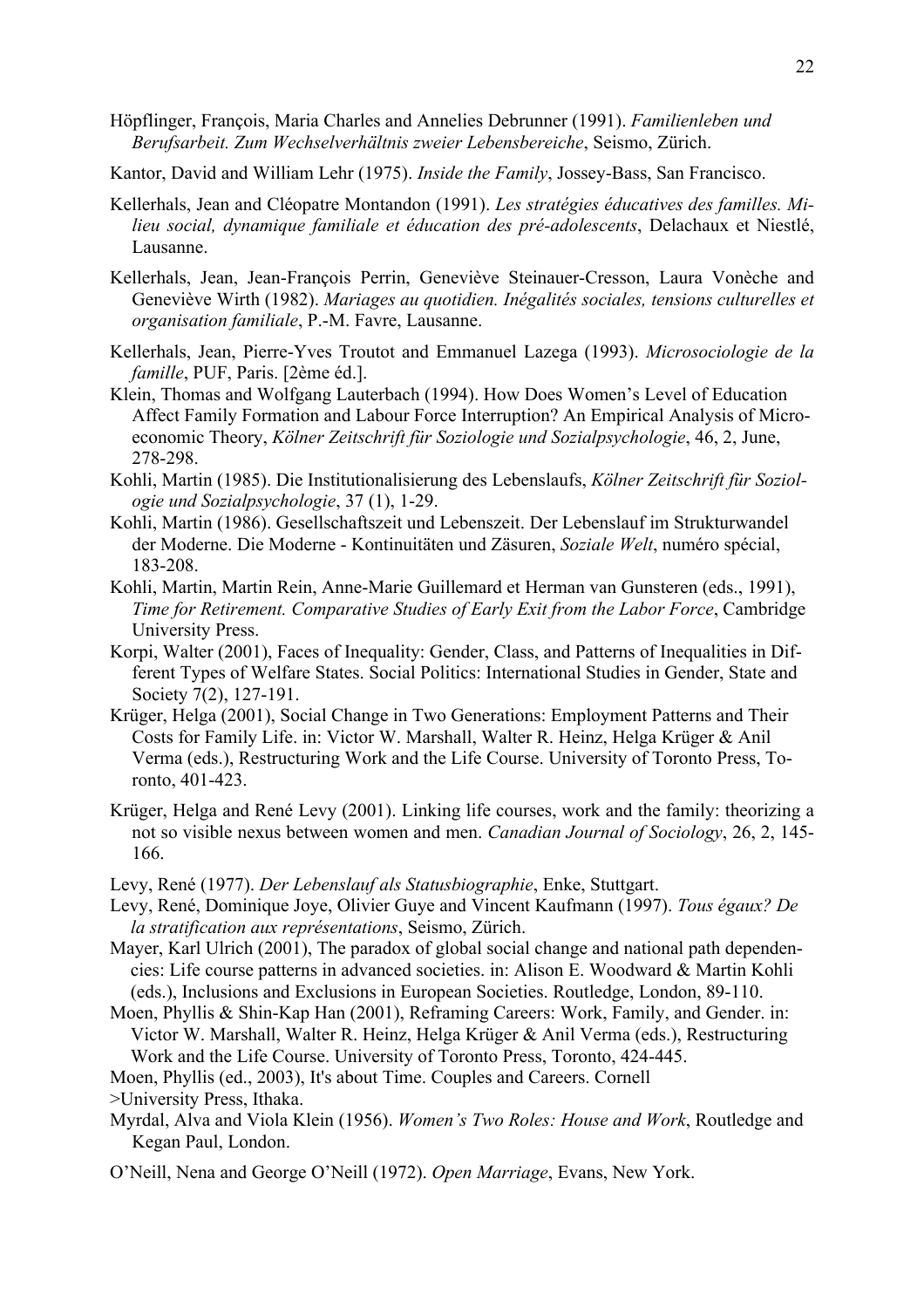- Höpflinger, François, Maria Charles and Annelies Debrunner (1991). *Familienleben und Berufsarbeit. Zum Wechselverhältnis zweier Lebensbereiche*, Seismo, Zürich.
- Kantor, David and William Lehr (1975). *Inside the Family*, Jossey-Bass, San Francisco.
- Kellerhals, Jean and Cléopatre Montandon (1991). *Les stratégies éducatives des familles. Milieu social, dynamique familiale et éducation des pré-adolescents*, Delachaux et Niestlé, Lausanne.
- Kellerhals, Jean, Jean-François Perrin, Geneviève Steinauer-Cresson, Laura Vonèche and Geneviève Wirth (1982). *Mariages au quotidien. Inégalités sociales, tensions culturelles et organisation familiale*, P.-M. Favre, Lausanne.
- Kellerhals, Jean, Pierre-Yves Troutot and Emmanuel Lazega (1993). *Microsociologie de la famille*, PUF, Paris. [2ème éd.].
- Klein, Thomas and Wolfgang Lauterbach (1994). How Does Women's Level of Education Affect Family Formation and Labour Force Interruption? An Empirical Analysis of Microeconomic Theory, *Kölner Zeitschrift für Soziologie und Sozialpsychologie*, 46, 2, June, 278-298.
- Kohli, Martin (1985). Die Institutionalisierung des Lebenslaufs, *Kölner Zeitschrift für Soziologie und Sozialpsychologie*, 37 (1), 1-29.
- Kohli, Martin (1986). Gesellschaftszeit und Lebenszeit. Der Lebenslauf im Strukturwandel der Moderne. Die Moderne - Kontinuitäten und Zäsuren, *Soziale Welt*, numéro spécial, 183-208.
- Kohli, Martin, Martin Rein, Anne-Marie Guillemard et Herman van Gunsteren (eds., 1991), *Time for Retirement. Comparative Studies of Early Exit from the Labor Force*, Cambridge University Press.
- Korpi, Walter (2001), Faces of Inequality: Gender, Class, and Patterns of Inequalities in Different Types of Welfare States. Social Politics: International Studies in Gender, State and Society 7(2), 127-191.
- Krüger, Helga (2001), Social Change in Two Generations: Employment Patterns and Their Costs for Family Life. in: Victor W. Marshall, Walter R. Heinz, Helga Krüger & Anil Verma (eds.), Restructuring Work and the Life Course. University of Toronto Press, Toronto, 401-423.
- Krüger, Helga and René Levy (2001). Linking life courses, work and the family: theorizing a not so visible nexus between women and men. *Canadian Journal of Sociology*, 26, 2, 145- 166.
- Levy, René (1977). *Der Lebenslauf als Statusbiographie*, Enke, Stuttgart.
- Levy, René, Dominique Joye, Olivier Guye and Vincent Kaufmann (1997). *Tous égaux? De la stratification aux représentations*, Seismo, Zürich.
- Mayer, Karl Ulrich (2001), The paradox of global social change and national path dependencies: Life course patterns in advanced societies. in: Alison E. Woodward & Martin Kohli (eds.), Inclusions and Exclusions in European Societies. Routledge, London, 89-110.
- Moen, Phyllis & Shin-Kap Han (2001), Reframing Careers: Work, Family, and Gender. in: Victor W. Marshall, Walter R. Heinz, Helga Krüger & Anil Verma (eds.), Restructuring Work and the Life Course. University of Toronto Press, Toronto, 424-445.
- Moen, Phyllis (ed., 2003), It's about Time. Couples and Careers. Cornell
- >University Press, Ithaka.
- Myrdal, Alva and Viola Klein (1956). *Women's Two Roles: House and Work*, Routledge and Kegan Paul, London.
- O'Neill, Nena and George O'Neill (1972). *Open Marriage*, Evans, New York.